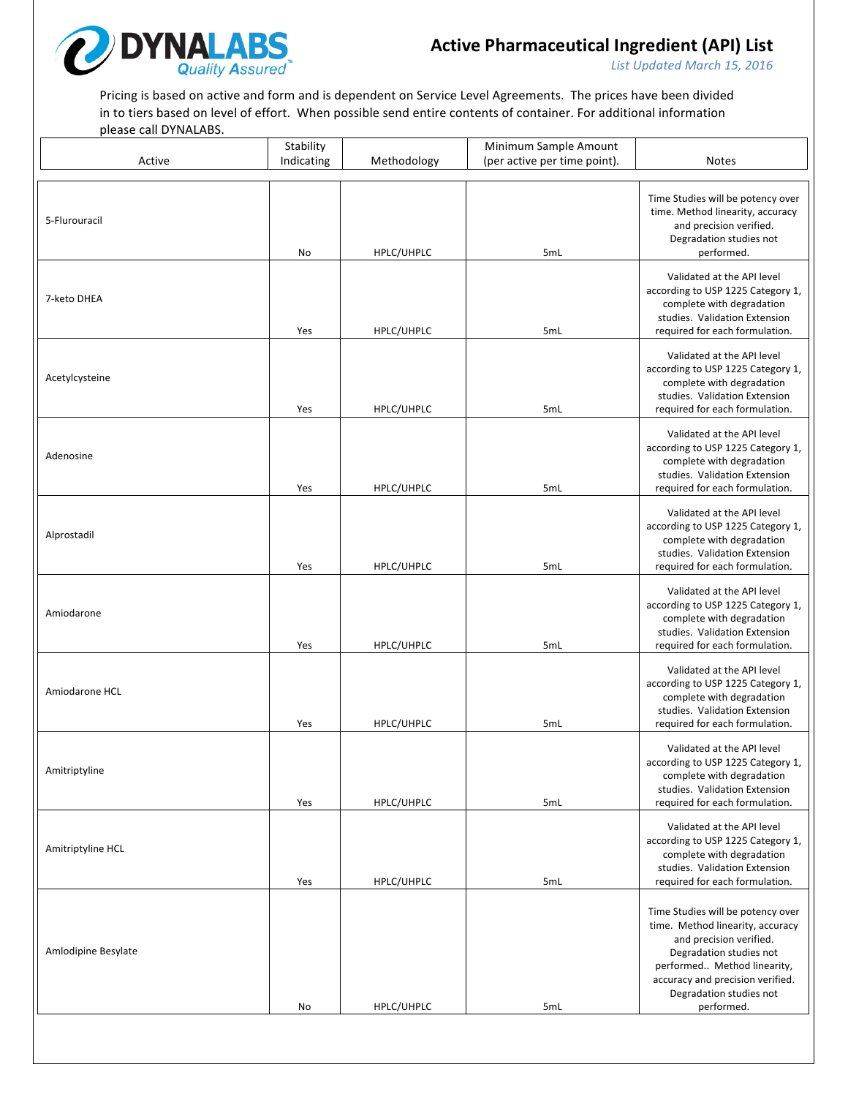

List Updated March 15, 2016

Pricing is based on active and form and is dependent on Service Level Agreements. The prices have been divided in to tiers based on level of effort. When possible send entire contents of container. For additional information please call DYNALABS.

|                     | Stability  |             | Minimum Sample Amount        |                                                                                                                                                                                                                                         |
|---------------------|------------|-------------|------------------------------|-----------------------------------------------------------------------------------------------------------------------------------------------------------------------------------------------------------------------------------------|
| Active              | Indicating | Methodology | (per active per time point). | <b>Notes</b>                                                                                                                                                                                                                            |
| 5-Flurouracil       | No         | HPLC/UHPLC  | 5mL                          | Time Studies will be potency over<br>time. Method linearity, accuracy<br>and precision verified.<br>Degradation studies not<br>performed.                                                                                               |
| 7-keto DHEA         | Yes        | HPLC/UHPLC  | 5mL                          | Validated at the API level<br>according to USP 1225 Category 1,<br>complete with degradation<br>studies. Validation Extension<br>required for each formulation.                                                                         |
| Acetylcysteine      | Yes        | HPLC/UHPLC  | 5mL                          | Validated at the API level<br>according to USP 1225 Category 1,<br>complete with degradation<br>studies. Validation Extension<br>required for each formulation.                                                                         |
| Adenosine           | Yes        | HPLC/UHPLC  | 5mL                          | Validated at the API level<br>according to USP 1225 Category 1,<br>complete with degradation<br>studies. Validation Extension<br>required for each formulation.                                                                         |
| Alprostadil         | Yes        | HPLC/UHPLC  | 5mL                          | Validated at the API level<br>according to USP 1225 Category 1,<br>complete with degradation<br>studies. Validation Extension<br>required for each formulation.                                                                         |
| Amiodarone          | Yes        | HPLC/UHPLC  | 5mL                          | Validated at the API level<br>according to USP 1225 Category 1,<br>complete with degradation<br>studies. Validation Extension<br>required for each formulation.                                                                         |
| Amiodarone HCL      | Yes        | HPLC/UHPLC  | 5mL                          | Validated at the API level<br>according to USP 1225 Category 1,<br>complete with degradation<br>studies. Validation Extension<br>required for each formulation.                                                                         |
| Amitriptyline       | Yes        | HPLC/UHPLC  | 5mL                          | Validated at the API level<br>according to USP 1225 Category 1,<br>complete with degradation<br>studies. Validation Extension<br>required for each formulation.                                                                         |
| Amitriptyline HCL   | Yes        | HPLC/UHPLC  | 5mL                          | Validated at the API level<br>according to USP 1225 Category 1,<br>complete with degradation<br>studies. Validation Extension<br>required for each formulation.                                                                         |
| Amlodipine Besylate | No         | HPLC/UHPLC  | 5mL                          | Time Studies will be potency over<br>time. Method linearity, accuracy<br>and precision verified.<br>Degradation studies not<br>performed Method linearity,<br>accuracy and precision verified.<br>Degradation studies not<br>performed. |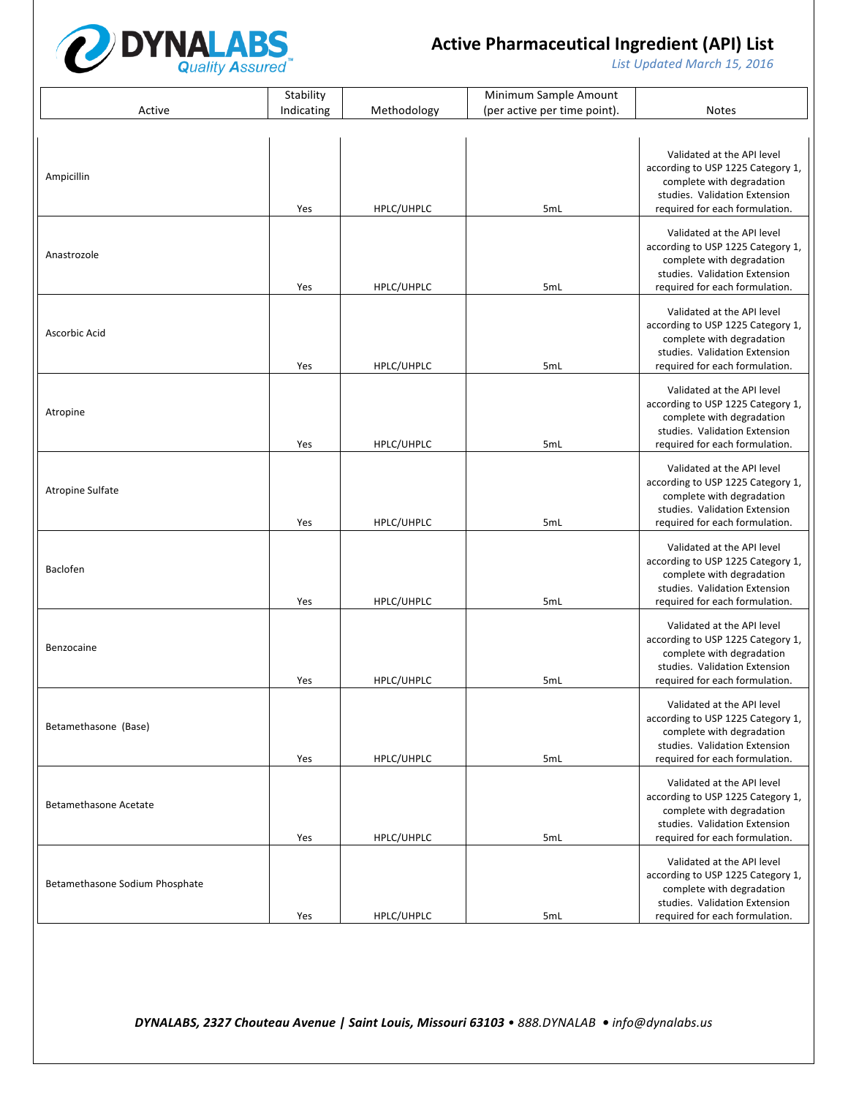

List Updated March 15, 2016

|                                | Stability  |             | Minimum Sample Amount        |                                                                                                                                                                 |
|--------------------------------|------------|-------------|------------------------------|-----------------------------------------------------------------------------------------------------------------------------------------------------------------|
| Active                         | Indicating | Methodology | (per active per time point). | <b>Notes</b>                                                                                                                                                    |
|                                |            |             |                              |                                                                                                                                                                 |
| Ampicillin                     | Yes        | HPLC/UHPLC  | 5mL                          | Validated at the API level<br>according to USP 1225 Category 1,<br>complete with degradation<br>studies. Validation Extension<br>required for each formulation. |
| Anastrozole                    | Yes        | HPLC/UHPLC  | 5mL                          | Validated at the API level<br>according to USP 1225 Category 1,<br>complete with degradation<br>studies. Validation Extension<br>required for each formulation. |
| Ascorbic Acid                  | Yes        | HPLC/UHPLC  | 5mL                          | Validated at the API level<br>according to USP 1225 Category 1,<br>complete with degradation<br>studies. Validation Extension<br>required for each formulation. |
| Atropine                       | Yes        | HPLC/UHPLC  | 5mL                          | Validated at the API level<br>according to USP 1225 Category 1,<br>complete with degradation<br>studies. Validation Extension<br>required for each formulation. |
| <b>Atropine Sulfate</b>        | Yes        | HPLC/UHPLC  | 5mL                          | Validated at the API level<br>according to USP 1225 Category 1,<br>complete with degradation<br>studies. Validation Extension<br>required for each formulation. |
| Baclofen                       | Yes        | HPLC/UHPLC  | 5mL                          | Validated at the API level<br>according to USP 1225 Category 1,<br>complete with degradation<br>studies. Validation Extension<br>required for each formulation. |
| Benzocaine                     | Yes        | HPLC/UHPLC  | 5mL                          | Validated at the API level<br>according to USP 1225 Category 1,<br>complete with degradation<br>studies. Validation Extension<br>required for each formulation. |
| Betamethasone (Base)           | Yes        | HPLC/UHPLC  | 5mL                          | Validated at the API level<br>according to USP 1225 Category 1,<br>complete with degradation<br>studies. Validation Extension<br>required for each formulation. |
| <b>Betamethasone Acetate</b>   | Yes        | HPLC/UHPLC  | 5mL                          | Validated at the API level<br>according to USP 1225 Category 1,<br>complete with degradation<br>studies. Validation Extension<br>required for each formulation. |
| Betamethasone Sodium Phosphate | Yes        | HPLC/UHPLC  | 5mL                          | Validated at the API level<br>according to USP 1225 Category 1,<br>complete with degradation<br>studies. Validation Extension<br>required for each formulation. |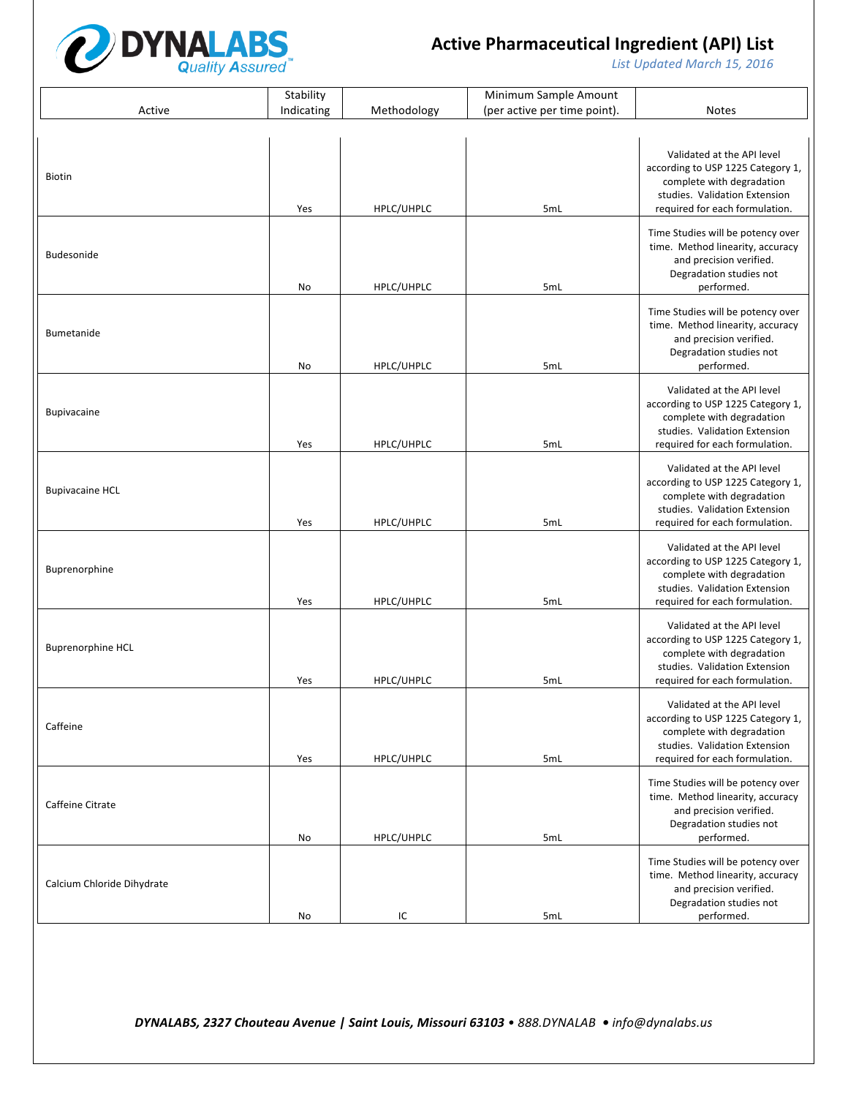

List Updated March 15, 2016

|                            | Stability  |             | Minimum Sample Amount        |                                                                                                                                                                 |
|----------------------------|------------|-------------|------------------------------|-----------------------------------------------------------------------------------------------------------------------------------------------------------------|
| Active                     | Indicating | Methodology | (per active per time point). | <b>Notes</b>                                                                                                                                                    |
|                            |            |             |                              |                                                                                                                                                                 |
| Biotin                     | Yes        | HPLC/UHPLC  | 5mL                          | Validated at the API level<br>according to USP 1225 Category 1,<br>complete with degradation<br>studies. Validation Extension<br>required for each formulation. |
| Budesonide                 | No         | HPLC/UHPLC  | 5mL                          | Time Studies will be potency over<br>time. Method linearity, accuracy<br>and precision verified.<br>Degradation studies not<br>performed.                       |
| <b>Bumetanide</b>          | No         | HPLC/UHPLC  | 5mL                          | Time Studies will be potency over<br>time. Method linearity, accuracy<br>and precision verified.<br>Degradation studies not<br>performed.                       |
| <b>Bupivacaine</b>         | Yes        | HPLC/UHPLC  | 5mL                          | Validated at the API level<br>according to USP 1225 Category 1,<br>complete with degradation<br>studies. Validation Extension<br>required for each formulation. |
| <b>Bupivacaine HCL</b>     | Yes        | HPLC/UHPLC  | 5mL                          | Validated at the API level<br>according to USP 1225 Category 1,<br>complete with degradation<br>studies. Validation Extension<br>required for each formulation. |
| Buprenorphine              | Yes        | HPLC/UHPLC  | 5mL                          | Validated at the API level<br>according to USP 1225 Category 1,<br>complete with degradation<br>studies. Validation Extension<br>required for each formulation. |
| <b>Buprenorphine HCL</b>   | Yes        | HPLC/UHPLC  | 5mL                          | Validated at the API level<br>according to USP 1225 Category 1,<br>complete with degradation<br>studies. Validation Extension<br>required for each formulation. |
| Caffeine                   | Yes        | HPLC/UHPLC  | 5mL                          | Validated at the API level<br>according to USP 1225 Category 1,<br>complete with degradation<br>studies. Validation Extension<br>required for each formulation. |
| Caffeine Citrate           | No         | HPLC/UHPLC  | 5mL                          | Time Studies will be potency over<br>time. Method linearity, accuracy<br>and precision verified.<br>Degradation studies not<br>performed.                       |
| Calcium Chloride Dihydrate | No         | IC          | 5mL                          | Time Studies will be potency over<br>time. Method linearity, accuracy<br>and precision verified.<br>Degradation studies not<br>performed.                       |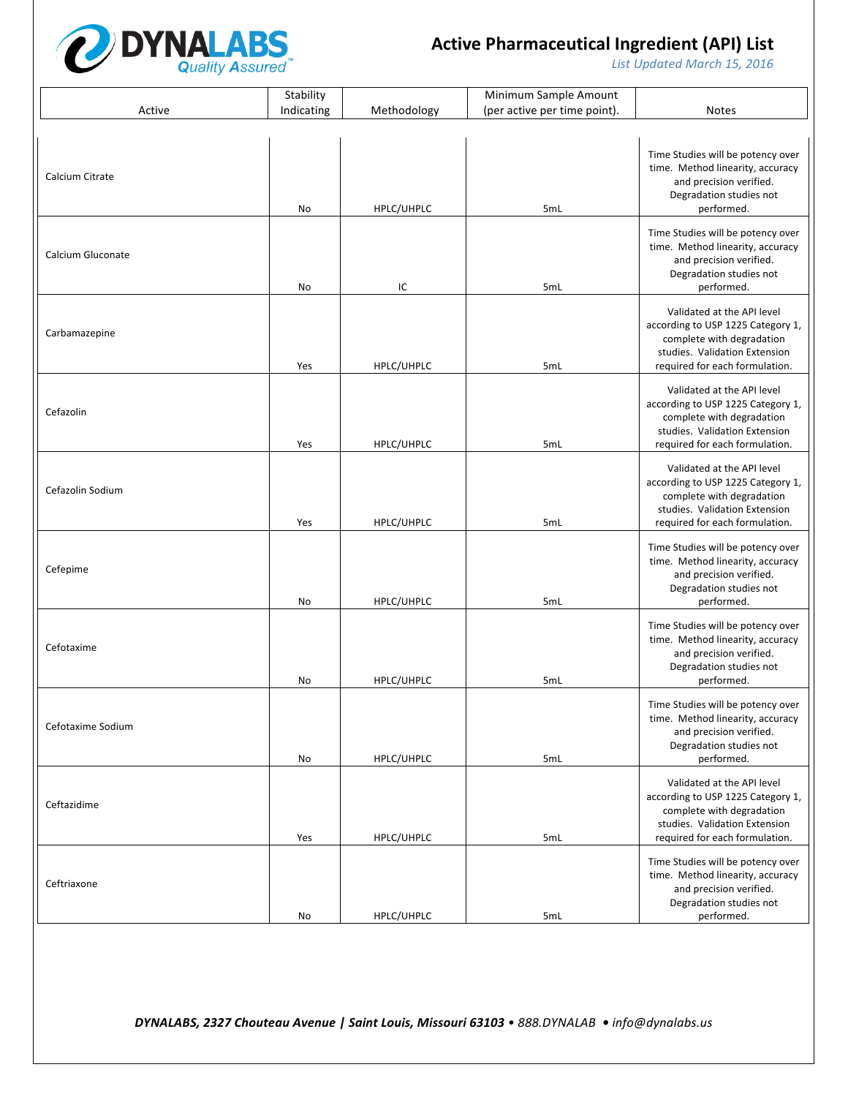

List Updated March 15, 2016

|                   | Stability  |             | Minimum Sample Amount        |                                                                                                                                                                 |
|-------------------|------------|-------------|------------------------------|-----------------------------------------------------------------------------------------------------------------------------------------------------------------|
| Active            | Indicating | Methodology | (per active per time point). | <b>Notes</b>                                                                                                                                                    |
|                   |            |             |                              |                                                                                                                                                                 |
| Calcium Citrate   | No         | HPLC/UHPLC  | 5mL                          | Time Studies will be potency over<br>time. Method linearity, accuracy<br>and precision verified.<br>Degradation studies not<br>performed.                       |
| Calcium Gluconate | No         | IC          | 5mL                          | Time Studies will be potency over<br>time. Method linearity, accuracy<br>and precision verified.<br>Degradation studies not<br>performed.                       |
| Carbamazepine     | Yes        | HPLC/UHPLC  | 5mL                          | Validated at the API level<br>according to USP 1225 Category 1,<br>complete with degradation<br>studies. Validation Extension<br>required for each formulation. |
| Cefazolin         | Yes        | HPLC/UHPLC  | 5mL                          | Validated at the API level<br>according to USP 1225 Category 1,<br>complete with degradation<br>studies. Validation Extension<br>required for each formulation. |
| Cefazolin Sodium  | Yes        | HPLC/UHPLC  | 5mL                          | Validated at the API level<br>according to USP 1225 Category 1,<br>complete with degradation<br>studies. Validation Extension<br>required for each formulation. |
| Cefepime          | No         | HPLC/UHPLC  | 5mL                          | Time Studies will be potency over<br>time. Method linearity, accuracy<br>and precision verified.<br>Degradation studies not<br>performed.                       |
| Cefotaxime        | No         | HPLC/UHPLC  | 5mL                          | Time Studies will be potency over<br>time. Method linearity, accuracy<br>and precision verified.<br>Degradation studies not<br>performed.                       |
| Cefotaxime Sodium | No         | HPLC/UHPLC  | 5mL                          | Time Studies will be potency over<br>time. Method linearity, accuracy<br>and precision verified.<br>Degradation studies not<br>performed.                       |
| Ceftazidime       | Yes        | HPLC/UHPLC  | 5mL                          | Validated at the API level<br>according to USP 1225 Category 1,<br>complete with degradation<br>studies. Validation Extension<br>required for each formulation. |
| Ceftriaxone       | No         | HPLC/UHPLC  | 5mL                          | Time Studies will be potency over<br>time. Method linearity, accuracy<br>and precision verified.<br>Degradation studies not<br>performed.                       |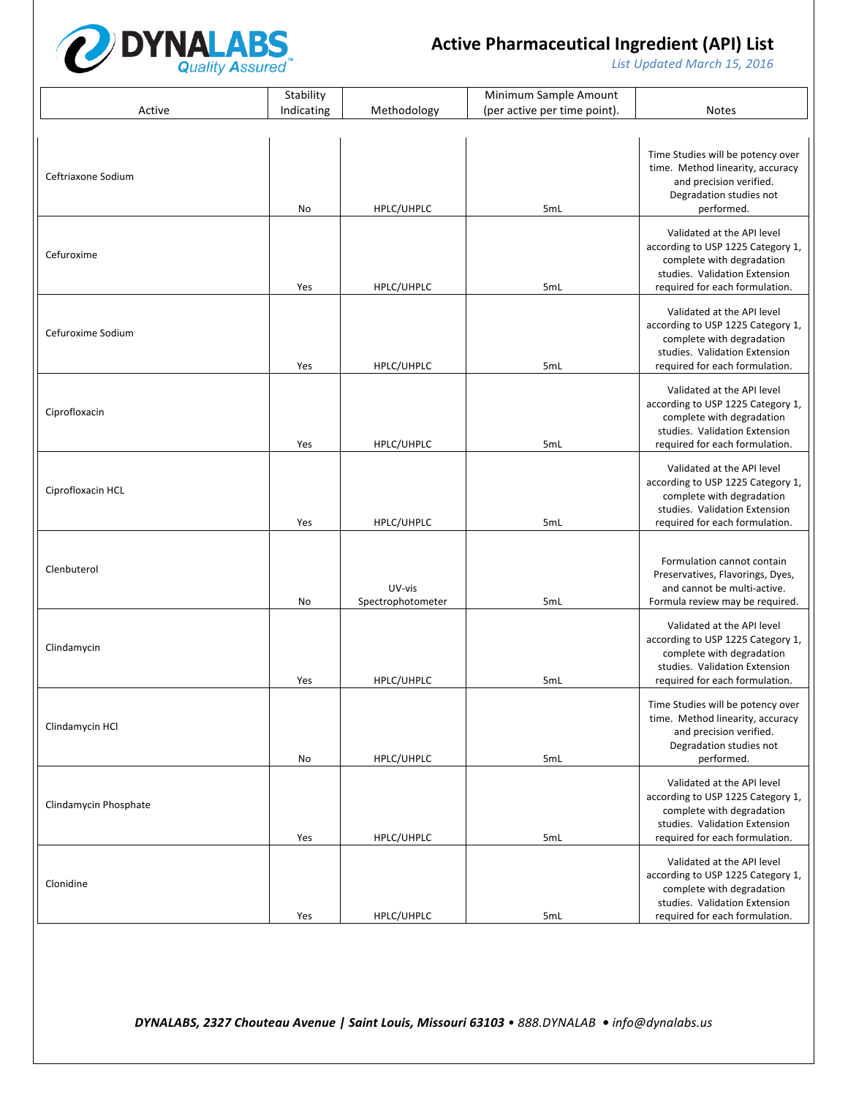

List Updated March 15, 2016

|                       | Stability  |                             | Minimum Sample Amount        |                                                                                                                                                                 |
|-----------------------|------------|-----------------------------|------------------------------|-----------------------------------------------------------------------------------------------------------------------------------------------------------------|
| Active                | Indicating | Methodology                 | (per active per time point). | <b>Notes</b>                                                                                                                                                    |
|                       |            |                             |                              |                                                                                                                                                                 |
| Ceftriaxone Sodium    | No         | HPLC/UHPLC                  | 5mL                          | Time Studies will be potency over<br>time. Method linearity, accuracy<br>and precision verified.<br>Degradation studies not<br>performed.                       |
| Cefuroxime            | Yes        | HPLC/UHPLC                  | 5mL                          | Validated at the API level<br>according to USP 1225 Category 1,<br>complete with degradation<br>studies. Validation Extension<br>required for each formulation. |
| Cefuroxime Sodium     | Yes        | HPLC/UHPLC                  | 5mL                          | Validated at the API level<br>according to USP 1225 Category 1,<br>complete with degradation<br>studies. Validation Extension<br>required for each formulation. |
| Ciprofloxacin         | Yes        | HPLC/UHPLC                  | 5mL                          | Validated at the API level<br>according to USP 1225 Category 1,<br>complete with degradation<br>studies. Validation Extension<br>required for each formulation. |
| Ciprofloxacin HCL     | Yes        | HPLC/UHPLC                  | 5mL                          | Validated at the API level<br>according to USP 1225 Category 1,<br>complete with degradation<br>studies. Validation Extension<br>required for each formulation. |
| Clenbuterol           | No         | UV-vis<br>Spectrophotometer | 5mL                          | Formulation cannot contain<br>Preservatives, Flavorings, Dyes,<br>and cannot be multi-active.<br>Formula review may be required.                                |
| Clindamycin           | Yes        | HPLC/UHPLC                  | 5mL                          | Validated at the API level<br>according to USP 1225 Category 1,<br>complete with degradation<br>studies. Validation Extension<br>required for each formulation. |
| Clindamycin HCl       | No         | HPLC/UHPLC                  | 5mL                          | Time Studies will be potency over<br>time. Method linearity, accuracy<br>and precision verified.<br>Degradation studies not<br>performed.                       |
| Clindamycin Phosphate | Yes        | HPLC/UHPLC                  | 5mL                          | Validated at the API level<br>according to USP 1225 Category 1,<br>complete with degradation<br>studies. Validation Extension<br>required for each formulation. |
| Clonidine             | Yes        | HPLC/UHPLC                  | 5mL                          | Validated at the API level<br>according to USP 1225 Category 1,<br>complete with degradation<br>studies. Validation Extension<br>required for each formulation. |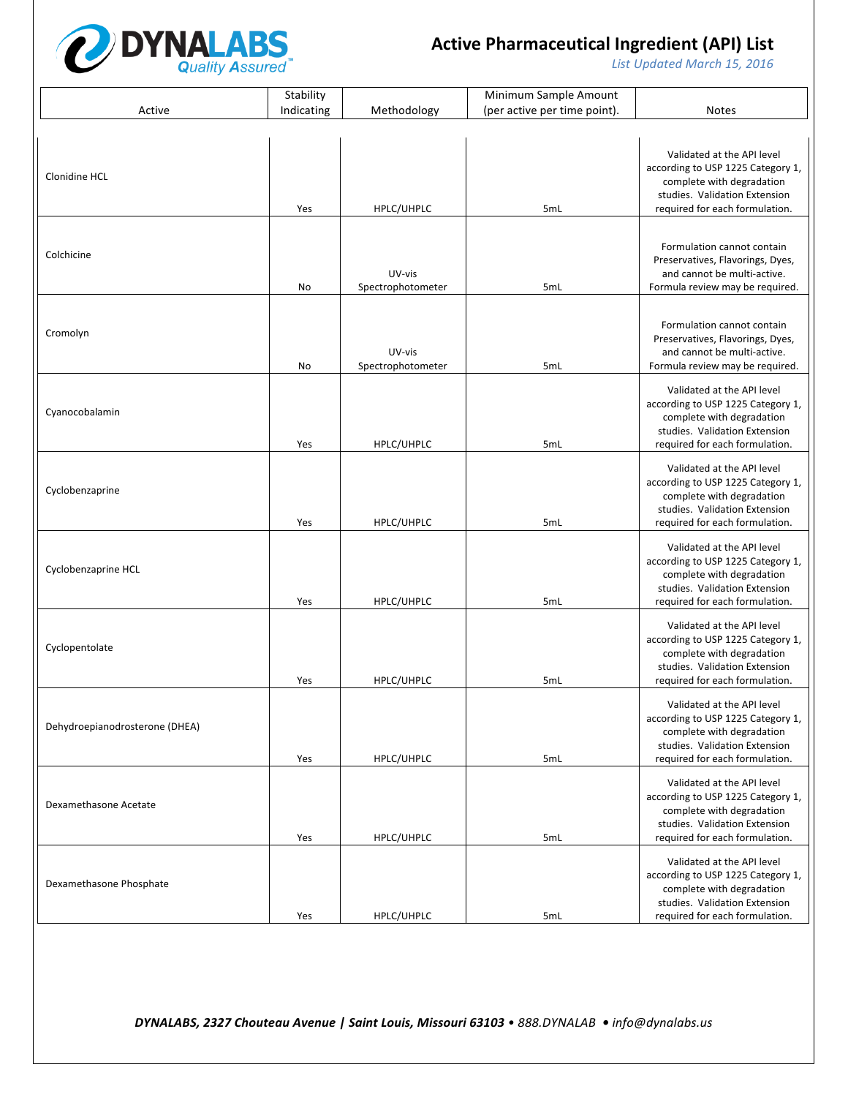

List Updated March 15, 2016

|                                | Stability  |                             | Minimum Sample Amount        |                                                                                                                                                                 |
|--------------------------------|------------|-----------------------------|------------------------------|-----------------------------------------------------------------------------------------------------------------------------------------------------------------|
| Active                         | Indicating | Methodology                 | (per active per time point). | <b>Notes</b>                                                                                                                                                    |
|                                |            |                             |                              |                                                                                                                                                                 |
| Clonidine HCL                  | Yes        | HPLC/UHPLC                  | 5mL                          | Validated at the API level<br>according to USP 1225 Category 1,<br>complete with degradation<br>studies. Validation Extension<br>required for each formulation. |
| Colchicine                     | No         | UV-vis<br>Spectrophotometer | 5mL                          | Formulation cannot contain<br>Preservatives, Flavorings, Dyes,<br>and cannot be multi-active.<br>Formula review may be required.                                |
| Cromolyn                       | No         | UV-vis<br>Spectrophotometer | 5mL                          | Formulation cannot contain<br>Preservatives, Flavorings, Dyes,<br>and cannot be multi-active.<br>Formula review may be required.                                |
| Cyanocobalamin                 | Yes        | HPLC/UHPLC                  | 5mL                          | Validated at the API level<br>according to USP 1225 Category 1,<br>complete with degradation<br>studies. Validation Extension<br>required for each formulation. |
| Cyclobenzaprine                | Yes        | HPLC/UHPLC                  | 5mL                          | Validated at the API level<br>according to USP 1225 Category 1,<br>complete with degradation<br>studies. Validation Extension<br>required for each formulation. |
| Cyclobenzaprine HCL            | Yes        | HPLC/UHPLC                  | 5mL                          | Validated at the API level<br>according to USP 1225 Category 1,<br>complete with degradation<br>studies. Validation Extension<br>required for each formulation. |
| Cyclopentolate                 | Yes        | HPLC/UHPLC                  | 5mL                          | Validated at the API level<br>according to USP 1225 Category 1,<br>complete with degradation<br>studies. Validation Extension<br>required for each formulation. |
| Dehydroepianodrosterone (DHEA) | Yes        | HPLC/UHPLC                  | 5mL                          | Validated at the API level<br>according to USP 1225 Category 1,<br>complete with degradation<br>studies. Validation Extension<br>required for each formulation. |
| Dexamethasone Acetate          | Yes        | HPLC/UHPLC                  | 5mL                          | Validated at the API level<br>according to USP 1225 Category 1,<br>complete with degradation<br>studies. Validation Extension<br>required for each formulation. |
| Dexamethasone Phosphate        | Yes        | HPLC/UHPLC                  | 5mL                          | Validated at the API level<br>according to USP 1225 Category 1,<br>complete with degradation<br>studies. Validation Extension<br>required for each formulation. |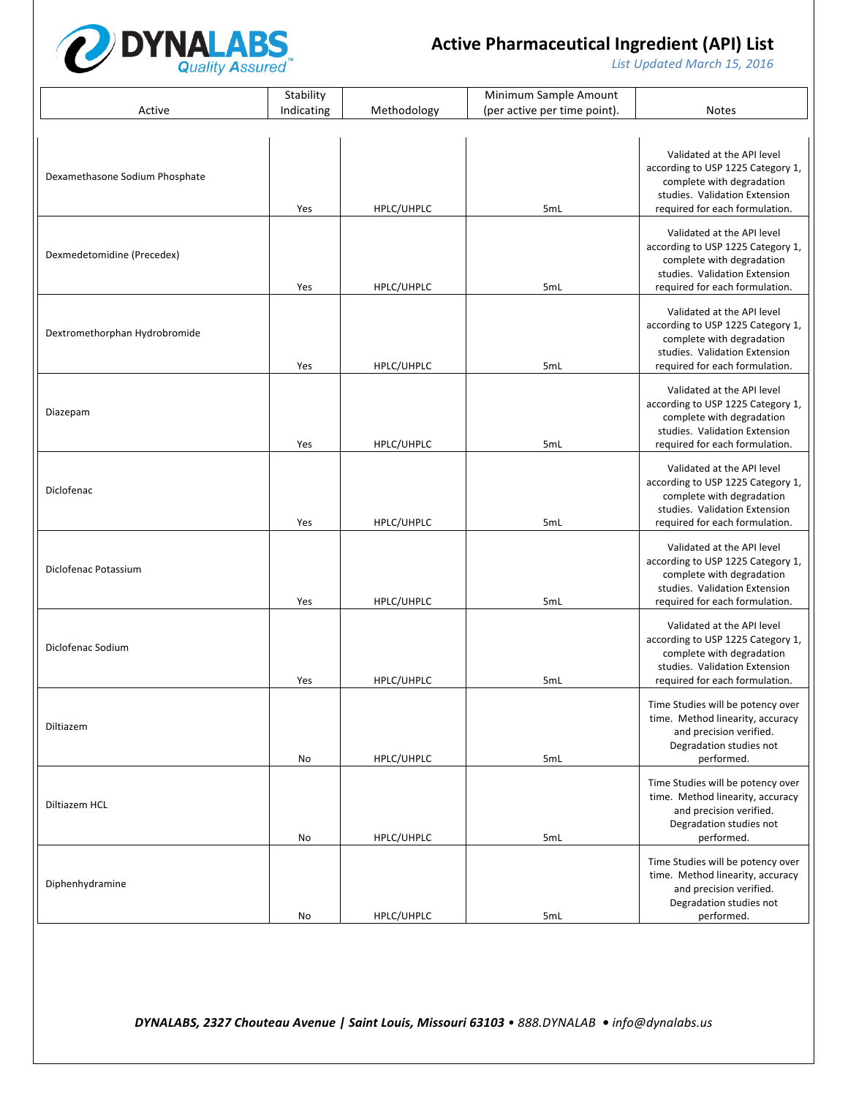

List Updated March 15, 2016

|                                | Stability  |             | Minimum Sample Amount        |                                                                                                                                                                 |
|--------------------------------|------------|-------------|------------------------------|-----------------------------------------------------------------------------------------------------------------------------------------------------------------|
| Active                         | Indicating | Methodology | (per active per time point). | <b>Notes</b>                                                                                                                                                    |
|                                |            |             |                              |                                                                                                                                                                 |
| Dexamethasone Sodium Phosphate | Yes        | HPLC/UHPLC  | 5mL                          | Validated at the API level<br>according to USP 1225 Category 1,<br>complete with degradation<br>studies. Validation Extension<br>required for each formulation. |
| Dexmedetomidine (Precedex)     | Yes        | HPLC/UHPLC  | 5mL                          | Validated at the API level<br>according to USP 1225 Category 1,<br>complete with degradation<br>studies. Validation Extension<br>required for each formulation. |
| Dextromethorphan Hydrobromide  | Yes        | HPLC/UHPLC  | 5mL                          | Validated at the API level<br>according to USP 1225 Category 1,<br>complete with degradation<br>studies. Validation Extension<br>required for each formulation. |
| Diazepam                       | Yes        | HPLC/UHPLC  | 5mL                          | Validated at the API level<br>according to USP 1225 Category 1,<br>complete with degradation<br>studies. Validation Extension<br>required for each formulation. |
| Diclofenac                     | Yes        | HPLC/UHPLC  | 5mL                          | Validated at the API level<br>according to USP 1225 Category 1,<br>complete with degradation<br>studies. Validation Extension<br>required for each formulation. |
| Diclofenac Potassium           | Yes        | HPLC/UHPLC  | 5mL                          | Validated at the API level<br>according to USP 1225 Category 1,<br>complete with degradation<br>studies. Validation Extension<br>required for each formulation. |
| Diclofenac Sodium              | Yes        | HPLC/UHPLC  | 5mL                          | Validated at the API level<br>according to USP 1225 Category 1,<br>complete with degradation<br>studies. Validation Extension<br>required for each formulation. |
| Diltiazem                      | No         | HPLC/UHPLC  | 5mL                          | Time Studies will be potency over<br>time. Method linearity, accuracy<br>and precision verified.<br>Degradation studies not<br>performed.                       |
| Diltiazem HCL                  | No         | HPLC/UHPLC  | 5mL                          | Time Studies will be potency over<br>time. Method linearity, accuracy<br>and precision verified.<br>Degradation studies not<br>performed.                       |
| Diphenhydramine                | No         | HPLC/UHPLC  | 5mL                          | Time Studies will be potency over<br>time. Method linearity, accuracy<br>and precision verified.<br>Degradation studies not<br>performed.                       |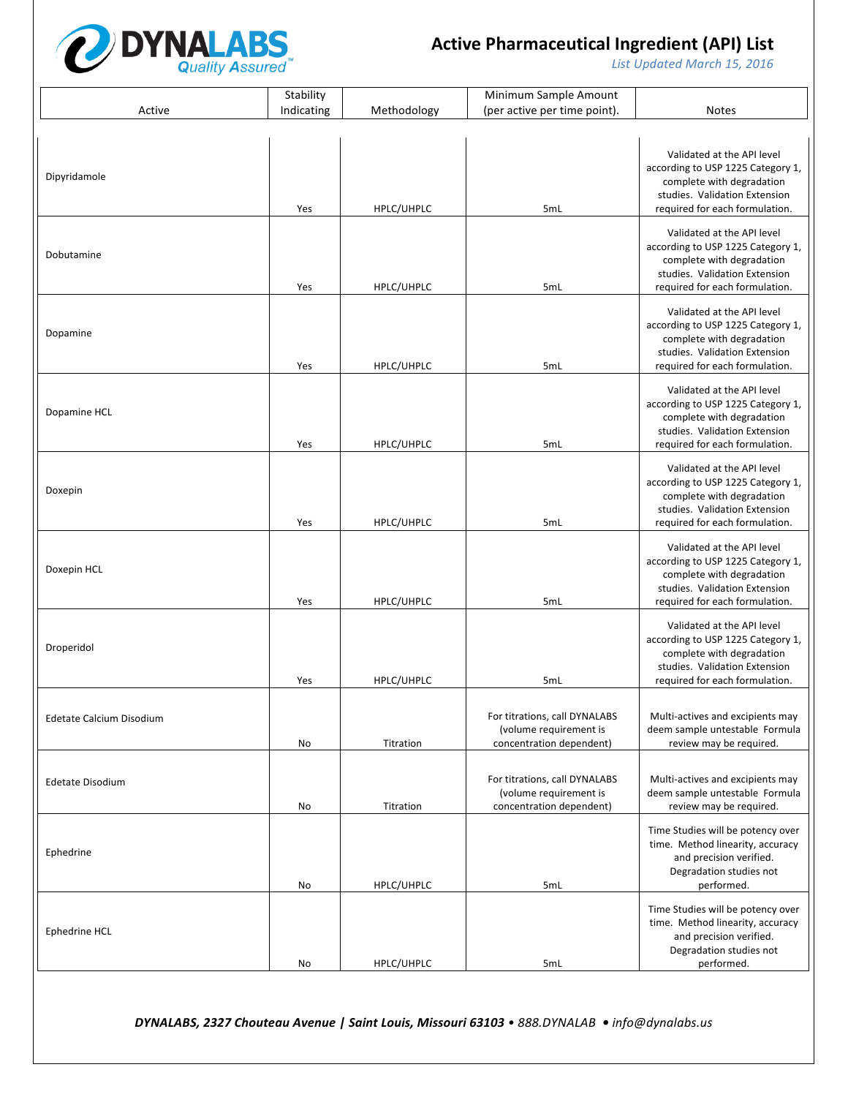

List Updated March 15, 2016

|                          | Stability  |             | Minimum Sample Amount                                                               |                                                                                                                                                                 |
|--------------------------|------------|-------------|-------------------------------------------------------------------------------------|-----------------------------------------------------------------------------------------------------------------------------------------------------------------|
| Active                   | Indicating | Methodology | (per active per time point).                                                        | <b>Notes</b>                                                                                                                                                    |
|                          |            |             |                                                                                     |                                                                                                                                                                 |
| Dipyridamole             | Yes        | HPLC/UHPLC  | 5mL                                                                                 | Validated at the API level<br>according to USP 1225 Category 1,<br>complete with degradation<br>studies. Validation Extension<br>required for each formulation. |
| Dobutamine               | Yes        | HPLC/UHPLC  | 5mL                                                                                 | Validated at the API level<br>according to USP 1225 Category 1,<br>complete with degradation<br>studies. Validation Extension<br>required for each formulation. |
| Dopamine                 | Yes        | HPLC/UHPLC  | 5mL                                                                                 | Validated at the API level<br>according to USP 1225 Category 1,<br>complete with degradation<br>studies. Validation Extension<br>required for each formulation. |
| Dopamine HCL             | Yes        | HPLC/UHPLC  | 5mL                                                                                 | Validated at the API level<br>according to USP 1225 Category 1,<br>complete with degradation<br>studies. Validation Extension<br>required for each formulation. |
| Doxepin                  | Yes        | HPLC/UHPLC  | 5mL                                                                                 | Validated at the API level<br>according to USP 1225 Category 1,<br>complete with degradation<br>studies. Validation Extension<br>required for each formulation. |
| Doxepin HCL              | Yes        | HPLC/UHPLC  | 5mL                                                                                 | Validated at the API level<br>according to USP 1225 Category 1,<br>complete with degradation<br>studies. Validation Extension<br>required for each formulation. |
| Droperidol               | Yes        | HPLC/UHPLC  | 5mL                                                                                 | Validated at the API level<br>according to USP 1225 Category 1,<br>complete with degradation<br>studies. Validation Extension<br>required for each formulation. |
| Edetate Calcium Disodium | No         | Titration   | For titrations, call DYNALABS<br>(volume requirement is<br>concentration dependent) | Multi-actives and excipients may<br>deem sample untestable Formula<br>review may be required.                                                                   |
| Edetate Disodium         | No         | Titration   | For titrations, call DYNALABS<br>(volume requirement is<br>concentration dependent) | Multi-actives and excipients may<br>deem sample untestable Formula<br>review may be required.                                                                   |
| Ephedrine                | No         | HPLC/UHPLC  | 5mL                                                                                 | Time Studies will be potency over<br>time. Method linearity, accuracy<br>and precision verified.<br>Degradation studies not<br>performed.                       |
| Ephedrine HCL            | No         | HPLC/UHPLC  | 5mL                                                                                 | Time Studies will be potency over<br>time. Method linearity, accuracy<br>and precision verified.<br>Degradation studies not<br>performed.                       |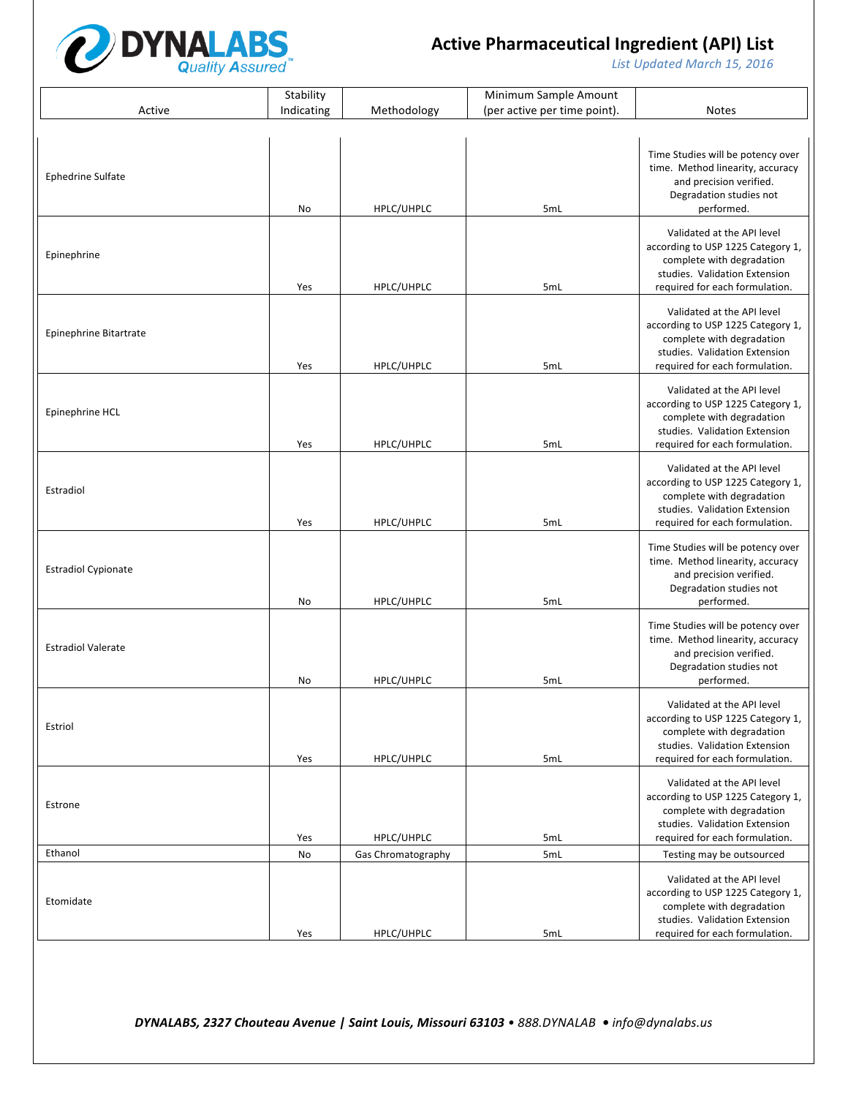

List Updated March 15, 2016

|                            | Stability  |                    | Minimum Sample Amount        |                                                                                                                                                                 |
|----------------------------|------------|--------------------|------------------------------|-----------------------------------------------------------------------------------------------------------------------------------------------------------------|
| Active                     | Indicating | Methodology        | (per active per time point). | <b>Notes</b>                                                                                                                                                    |
|                            |            |                    |                              |                                                                                                                                                                 |
| <b>Ephedrine Sulfate</b>   | No         | HPLC/UHPLC         | 5mL                          | Time Studies will be potency over<br>time. Method linearity, accuracy<br>and precision verified.<br>Degradation studies not<br>performed.                       |
| Epinephrine                | Yes        | HPLC/UHPLC         | 5mL                          | Validated at the API level<br>according to USP 1225 Category 1,<br>complete with degradation<br>studies. Validation Extension<br>required for each formulation. |
| Epinephrine Bitartrate     | Yes        | HPLC/UHPLC         | 5mL                          | Validated at the API level<br>according to USP 1225 Category 1,<br>complete with degradation<br>studies. Validation Extension<br>required for each formulation. |
| Epinephrine HCL            | Yes        | HPLC/UHPLC         | 5mL                          | Validated at the API level<br>according to USP 1225 Category 1,<br>complete with degradation<br>studies. Validation Extension<br>required for each formulation. |
| Estradiol                  | Yes        | HPLC/UHPLC         | 5mL                          | Validated at the API level<br>according to USP 1225 Category 1,<br>complete with degradation<br>studies. Validation Extension<br>required for each formulation. |
| <b>Estradiol Cypionate</b> | No         | HPLC/UHPLC         | 5mL                          | Time Studies will be potency over<br>time. Method linearity, accuracy<br>and precision verified.<br>Degradation studies not<br>performed.                       |
| <b>Estradiol Valerate</b>  | No         | HPLC/UHPLC         | 5mL                          | Time Studies will be potency over<br>time. Method linearity, accuracy<br>and precision verified.<br>Degradation studies not<br>performed.                       |
| Estriol                    | Yes        | HPLC/UHPLC         | 5mL                          | Validated at the API level<br>according to USP 1225 Category 1,<br>complete with degradation<br>studies. Validation Extension<br>required for each formulation. |
| Estrone                    | Yes        | HPLC/UHPLC         | 5mL                          | Validated at the API level<br>according to USP 1225 Category 1,<br>complete with degradation<br>studies. Validation Extension<br>required for each formulation. |
| Ethanol                    | No         | Gas Chromatography | 5mL                          | Testing may be outsourced                                                                                                                                       |
| Etomidate                  | Yes        | HPLC/UHPLC         | 5mL                          | Validated at the API level<br>according to USP 1225 Category 1,<br>complete with degradation<br>studies. Validation Extension<br>required for each formulation. |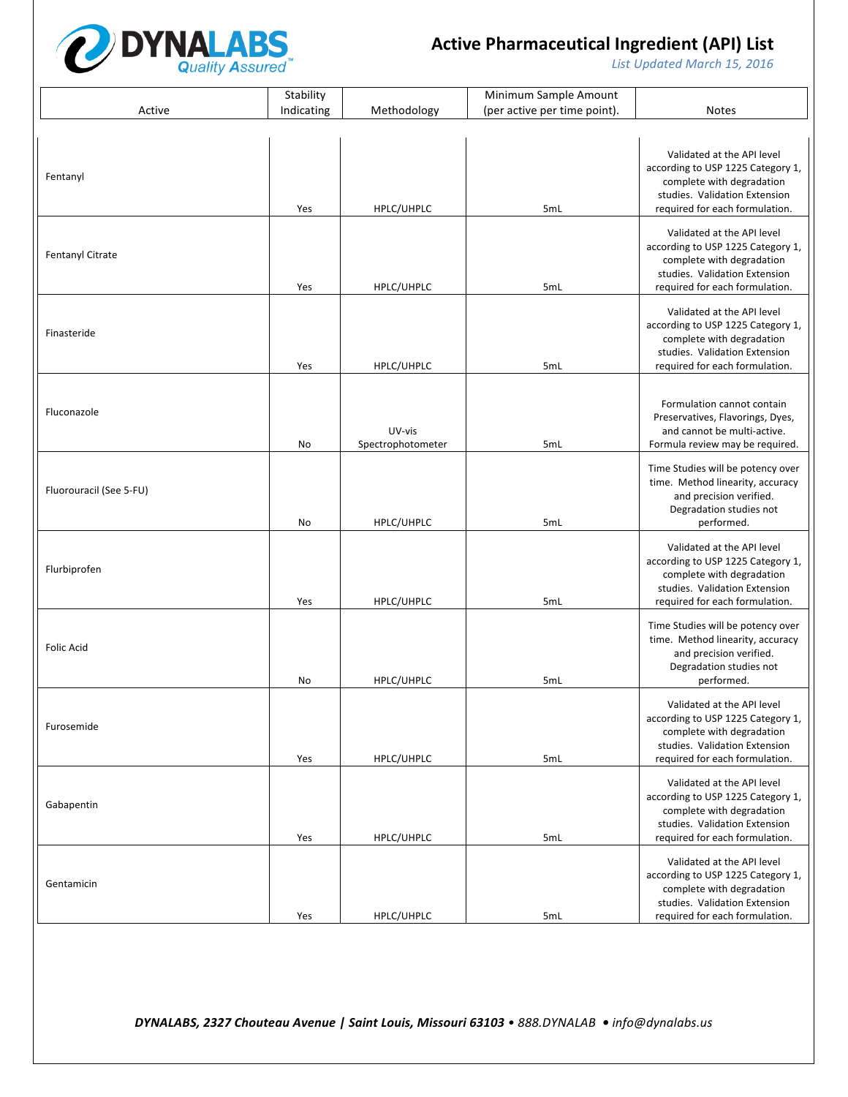

List Updated March 15, 2016

|                         | Stability  |                             | Minimum Sample Amount        |                                                                                                                                                                 |
|-------------------------|------------|-----------------------------|------------------------------|-----------------------------------------------------------------------------------------------------------------------------------------------------------------|
| Active                  | Indicating | Methodology                 | (per active per time point). | <b>Notes</b>                                                                                                                                                    |
|                         |            |                             |                              |                                                                                                                                                                 |
| Fentanyl                | Yes        | HPLC/UHPLC                  | 5mL                          | Validated at the API level<br>according to USP 1225 Category 1,<br>complete with degradation<br>studies. Validation Extension<br>required for each formulation. |
| Fentanyl Citrate        | Yes        | HPLC/UHPLC                  | 5mL                          | Validated at the API level<br>according to USP 1225 Category 1,<br>complete with degradation<br>studies. Validation Extension<br>required for each formulation. |
| Finasteride             | Yes        | HPLC/UHPLC                  | 5mL                          | Validated at the API level<br>according to USP 1225 Category 1,<br>complete with degradation<br>studies. Validation Extension<br>required for each formulation. |
| Fluconazole             | No         | UV-vis<br>Spectrophotometer | 5mL                          | Formulation cannot contain<br>Preservatives, Flavorings, Dyes,<br>and cannot be multi-active.<br>Formula review may be required                                 |
| Fluorouracil (See 5-FU) | No         | HPLC/UHPLC                  | 5mL                          | Time Studies will be potency over<br>time. Method linearity, accuracy<br>and precision verified.<br>Degradation studies not<br>performed.                       |
| Flurbiprofen            | Yes        | HPLC/UHPLC                  | 5mL                          | Validated at the API level<br>according to USP 1225 Category 1,<br>complete with degradation<br>studies. Validation Extension<br>required for each formulation. |
| <b>Folic Acid</b>       | No         | HPLC/UHPLC                  | 5mL                          | Time Studies will be potency over<br>time. Method linearity, accuracy<br>and precision verified.<br>Degradation studies not<br>performed.                       |
| Furosemide              | Yes        | HPLC/UHPLC                  | 5mL                          | Validated at the API level<br>according to USP 1225 Category 1,<br>complete with degradation<br>studies. Validation Extension<br>required for each formulation. |
| Gabapentin              | Yes        | HPLC/UHPLC                  | 5mL                          | Validated at the API level<br>according to USP 1225 Category 1,<br>complete with degradation<br>studies. Validation Extension<br>required for each formulation. |
| Gentamicin              | Yes        | HPLC/UHPLC                  | 5mL                          | Validated at the API level<br>according to USP 1225 Category 1,<br>complete with degradation<br>studies. Validation Extension<br>required for each formulation. |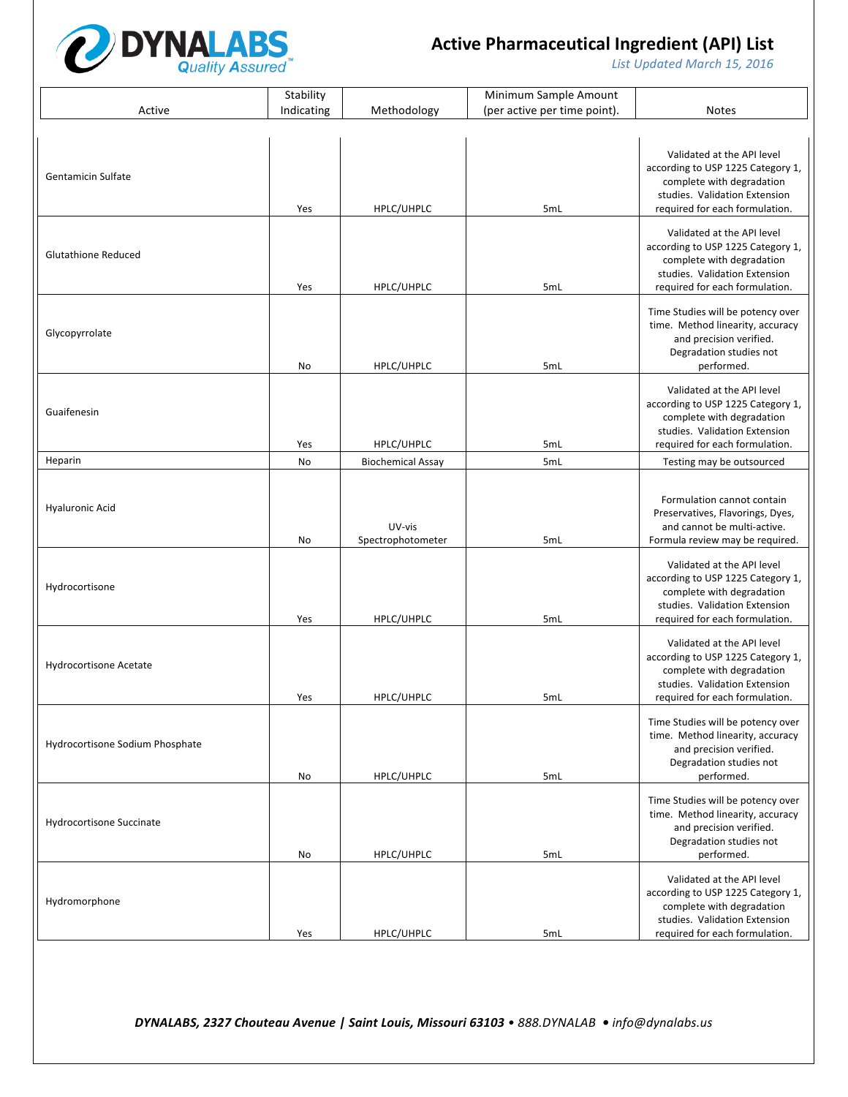

List Updated March 15, 2016

|                                 | Stability  |                             | Minimum Sample Amount        |                                                                                                                                                                 |
|---------------------------------|------------|-----------------------------|------------------------------|-----------------------------------------------------------------------------------------------------------------------------------------------------------------|
| Active                          | Indicating | Methodology                 | (per active per time point). | <b>Notes</b>                                                                                                                                                    |
|                                 |            |                             |                              |                                                                                                                                                                 |
| <b>Gentamicin Sulfate</b>       | Yes        | HPLC/UHPLC                  | 5mL                          | Validated at the API level<br>according to USP 1225 Category 1,<br>complete with degradation<br>studies. Validation Extension<br>required for each formulation. |
| <b>Glutathione Reduced</b>      | Yes        | HPLC/UHPLC                  | 5mL                          | Validated at the API level<br>according to USP 1225 Category 1,<br>complete with degradation<br>studies. Validation Extension<br>required for each formulation. |
| Glycopyrrolate                  | No         | HPLC/UHPLC                  | 5mL                          | Time Studies will be potency over<br>time. Method linearity, accuracy<br>and precision verified.<br>Degradation studies not<br>performed.                       |
| Guaifenesin                     | Yes        | HPLC/UHPLC                  | 5mL                          | Validated at the API level<br>according to USP 1225 Category 1,<br>complete with degradation<br>studies. Validation Extension<br>required for each formulation. |
| Heparin                         | No         | <b>Biochemical Assay</b>    | 5mL                          | Testing may be outsourced                                                                                                                                       |
| <b>Hyaluronic Acid</b>          | No         | UV-vis<br>Spectrophotometer | 5mL                          | Formulation cannot contain<br>Preservatives, Flavorings, Dyes,<br>and cannot be multi-active.<br>Formula review may be required.                                |
| Hydrocortisone                  | Yes        | HPLC/UHPLC                  | 5mL                          | Validated at the API level<br>according to USP 1225 Category 1,<br>complete with degradation<br>studies. Validation Extension<br>required for each formulation. |
| Hydrocortisone Acetate          | Yes        | HPLC/UHPLC                  | 5mL                          | Validated at the API level<br>according to USP 1225 Category 1,<br>complete with degradation<br>studies. Validation Extension<br>required for each formulation. |
| Hydrocortisone Sodium Phosphate | No         | HPLC/UHPLC                  | 5mL                          | Time Studies will be potency over<br>time. Method linearity, accuracy<br>and precision verified.<br>Degradation studies not<br>performed.                       |
| Hydrocortisone Succinate        | No         | HPLC/UHPLC                  | 5mL                          | Time Studies will be potency over<br>time. Method linearity, accuracy<br>and precision verified.<br>Degradation studies not<br>performed.                       |
| Hydromorphone                   | Yes        | HPLC/UHPLC                  | 5mL                          | Validated at the API level<br>according to USP 1225 Category 1,<br>complete with degradation<br>studies. Validation Extension<br>required for each formulation. |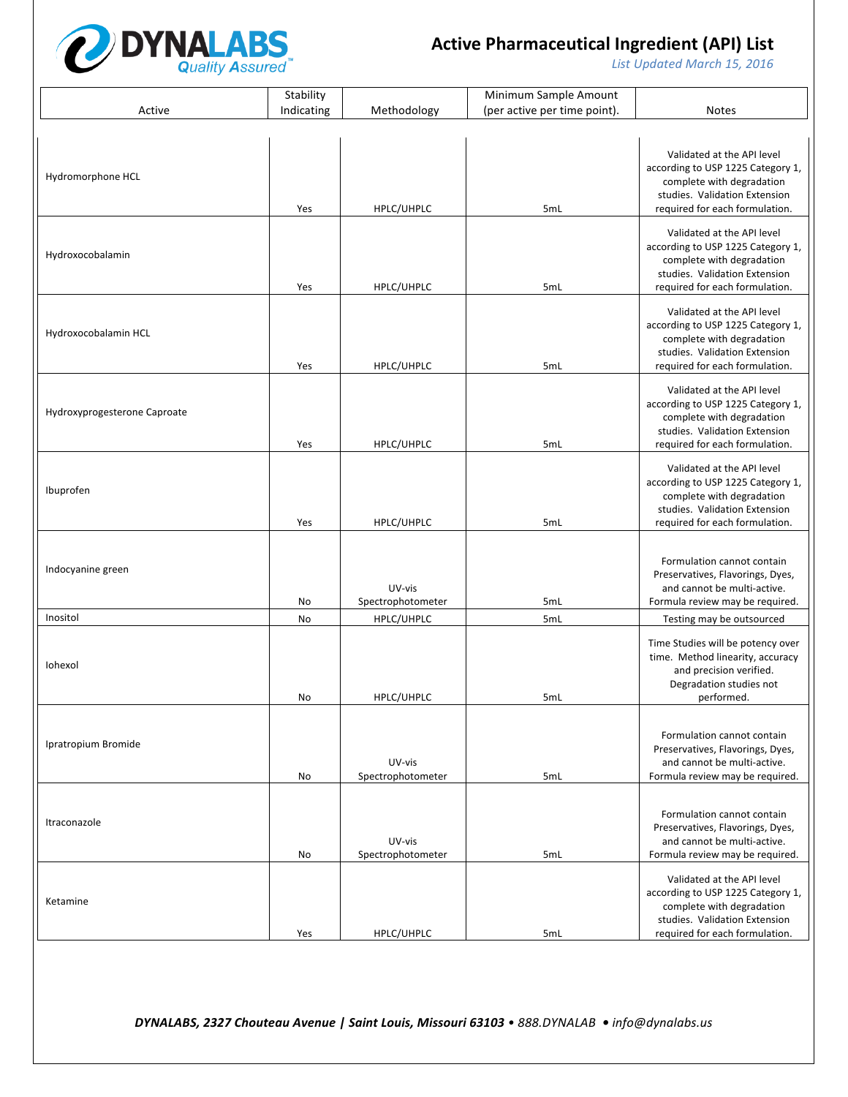

List Updated March 15, 2016

|                              | Stability  |                             | Minimum Sample Amount        |                                                                                                                                                                 |
|------------------------------|------------|-----------------------------|------------------------------|-----------------------------------------------------------------------------------------------------------------------------------------------------------------|
| Active                       | Indicating | Methodology                 | (per active per time point). | <b>Notes</b>                                                                                                                                                    |
|                              |            |                             |                              |                                                                                                                                                                 |
| Hydromorphone HCL            | Yes        | HPLC/UHPLC                  | 5mL                          | Validated at the API level<br>according to USP 1225 Category 1,<br>complete with degradation<br>studies. Validation Extension<br>required for each formulation. |
| Hydroxocobalamin             | Yes        | HPLC/UHPLC                  | 5mL                          | Validated at the API level<br>according to USP 1225 Category 1,<br>complete with degradation<br>studies. Validation Extension<br>required for each formulation. |
| Hydroxocobalamin HCL         | Yes        | HPLC/UHPLC                  | 5mL                          | Validated at the API level<br>according to USP 1225 Category 1,<br>complete with degradation<br>studies. Validation Extension<br>required for each formulation. |
| Hydroxyprogesterone Caproate | Yes        | HPLC/UHPLC                  | 5mL                          | Validated at the API level<br>according to USP 1225 Category 1,<br>complete with degradation<br>studies. Validation Extension<br>required for each formulation. |
| Ibuprofen                    | Yes        | HPLC/UHPLC                  | 5mL                          | Validated at the API level<br>according to USP 1225 Category 1,<br>complete with degradation<br>studies. Validation Extension<br>required for each formulation. |
| Indocyanine green            | No         | UV-vis<br>Spectrophotometer | 5mL                          | Formulation cannot contain<br>Preservatives, Flavorings, Dyes,<br>and cannot be multi-active.<br>Formula review may be required.                                |
| Inositol                     | No         | HPLC/UHPLC                  | 5mL                          | Testing may be outsourced                                                                                                                                       |
| Iohexol                      | No         | HPLC/UHPLC                  | 5mL                          | Time Studies will be potency over<br>time. Method linearity, accuracy<br>and precision verified.<br>Degradation studies not<br>performed.                       |
| Ipratropium Bromide          | No         | UV-vis<br>Spectrophotometer | 5mL                          | Formulation cannot contain<br>Preservatives, Flavorings, Dyes,<br>and cannot be multi-active.<br>Formula review may be required.                                |
| Itraconazole                 | No         | UV-vis<br>Spectrophotometer | 5mL                          | Formulation cannot contain<br>Preservatives, Flavorings, Dyes,<br>and cannot be multi-active.<br>Formula review may be required.                                |
| Ketamine                     | Yes        | HPLC/UHPLC                  | 5mL                          | Validated at the API level<br>according to USP 1225 Category 1,<br>complete with degradation<br>studies. Validation Extension<br>required for each formulation. |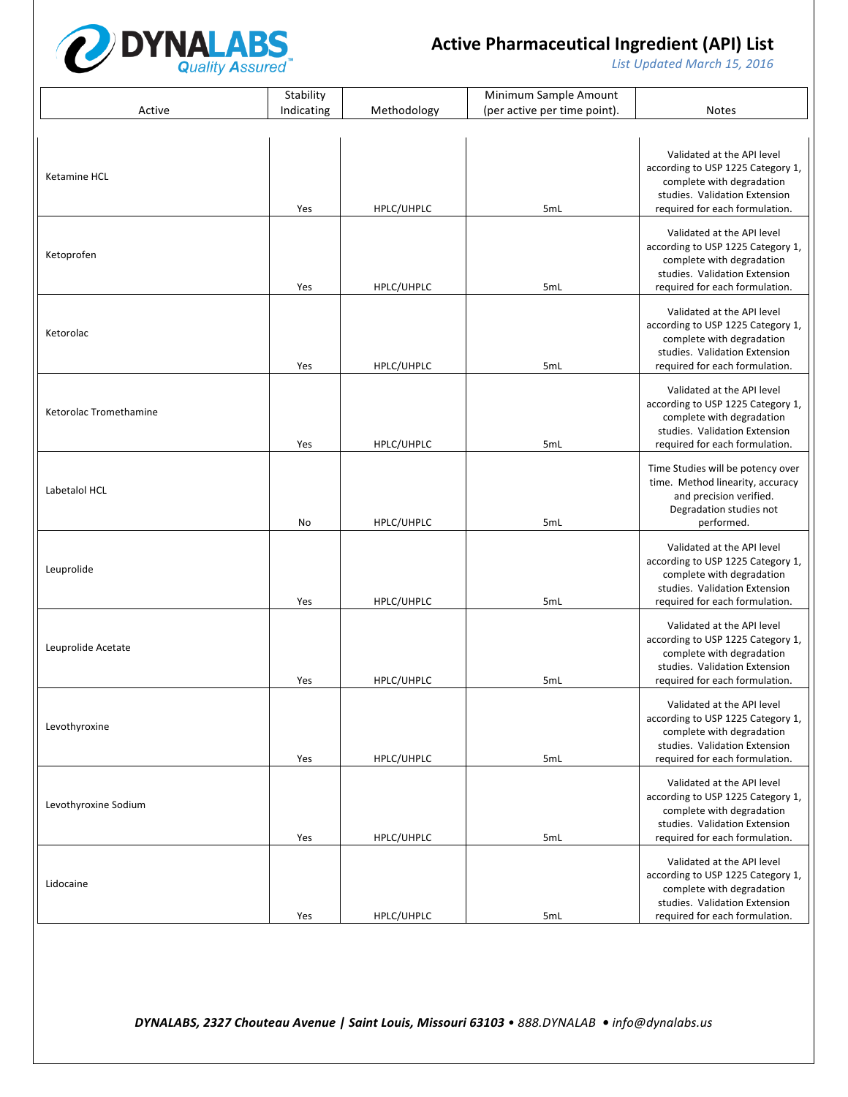

List Updated March 15, 2016

|                        | Stability  |             | Minimum Sample Amount        |                                                                                                                                                                 |
|------------------------|------------|-------------|------------------------------|-----------------------------------------------------------------------------------------------------------------------------------------------------------------|
| Active                 | Indicating | Methodology | (per active per time point). | <b>Notes</b>                                                                                                                                                    |
|                        |            |             |                              |                                                                                                                                                                 |
| Ketamine HCL           | Yes        | HPLC/UHPLC  | 5mL                          | Validated at the API level<br>according to USP 1225 Category 1,<br>complete with degradation<br>studies. Validation Extension<br>required for each formulation. |
| Ketoprofen             | Yes        | HPLC/UHPLC  | 5mL                          | Validated at the API level<br>according to USP 1225 Category 1,<br>complete with degradation<br>studies. Validation Extension<br>required for each formulation. |
| Ketorolac              | Yes        | HPLC/UHPLC  | 5mL                          | Validated at the API level<br>according to USP 1225 Category 1,<br>complete with degradation<br>studies. Validation Extension<br>required for each formulation. |
| Ketorolac Tromethamine | Yes        | HPLC/UHPLC  | 5mL                          | Validated at the API level<br>according to USP 1225 Category 1,<br>complete with degradation<br>studies. Validation Extension<br>required for each formulation. |
| Labetalol HCL          | No         | HPLC/UHPLC  | 5mL                          | Time Studies will be potency over<br>time. Method linearity, accuracy<br>and precision verified.<br>Degradation studies not<br>performed.                       |
| Leuprolide             | Yes        | HPLC/UHPLC  | 5mL                          | Validated at the API level<br>according to USP 1225 Category 1,<br>complete with degradation<br>studies. Validation Extension<br>required for each formulation. |
| Leuprolide Acetate     | Yes        | HPLC/UHPLC  | 5mL                          | Validated at the API level<br>according to USP 1225 Category 1,<br>complete with degradation<br>studies. Validation Extension<br>required for each formulation. |
| Levothyroxine          | Yes        | HPLC/UHPLC  | 5mL                          | Validated at the API level<br>according to USP 1225 Category 1,<br>complete with degradation<br>studies. Validation Extension<br>required for each formulation. |
| Levothyroxine Sodium   | Yes        | HPLC/UHPLC  | 5mL                          | Validated at the API level<br>according to USP 1225 Category 1,<br>complete with degradation<br>studies. Validation Extension<br>required for each formulation. |
| Lidocaine              | Yes        | HPLC/UHPLC  | 5mL                          | Validated at the API level<br>according to USP 1225 Category 1,<br>complete with degradation<br>studies. Validation Extension<br>required for each formulation. |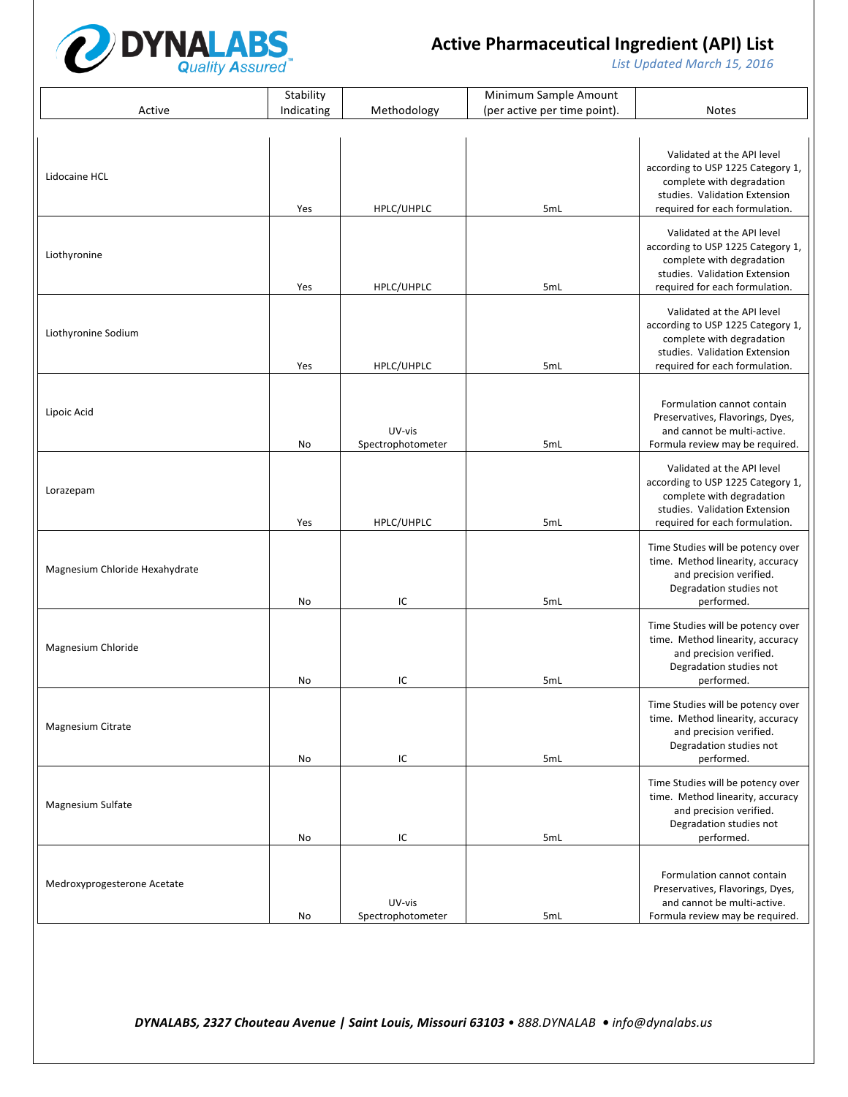

List Updated March 15, 2016

|                                | Stability  |                             | Minimum Sample Amount        |                                                                                                                                                                 |
|--------------------------------|------------|-----------------------------|------------------------------|-----------------------------------------------------------------------------------------------------------------------------------------------------------------|
| Active                         | Indicating | Methodology                 | (per active per time point). | <b>Notes</b>                                                                                                                                                    |
|                                |            |                             |                              |                                                                                                                                                                 |
| Lidocaine HCL                  | Yes        | HPLC/UHPLC                  | 5mL                          | Validated at the API level<br>according to USP 1225 Category 1,<br>complete with degradation<br>studies. Validation Extension<br>required for each formulation. |
| Liothyronine                   | Yes        | HPLC/UHPLC                  | 5mL                          | Validated at the API level<br>according to USP 1225 Category 1,<br>complete with degradation<br>studies. Validation Extension<br>required for each formulation. |
| Liothyronine Sodium            | Yes        | HPLC/UHPLC                  | 5mL                          | Validated at the API level<br>according to USP 1225 Category 1,<br>complete with degradation<br>studies. Validation Extension<br>required for each formulation. |
| Lipoic Acid                    | No         | UV-vis<br>Spectrophotometer | 5mL                          | Formulation cannot contain<br>Preservatives, Flavorings, Dyes,<br>and cannot be multi-active.<br>Formula review may be required.                                |
| Lorazepam                      | Yes        | HPLC/UHPLC                  | 5mL                          | Validated at the API level<br>according to USP 1225 Category 1,<br>complete with degradation<br>studies. Validation Extension<br>required for each formulation. |
| Magnesium Chloride Hexahydrate | No         | IC                          | 5mL                          | Time Studies will be potency over<br>time. Method linearity, accuracy<br>and precision verified.<br>Degradation studies not<br>performed.                       |
| Magnesium Chloride             | No         | IC                          | 5mL                          | Time Studies will be potency over<br>time. Method linearity, accuracy<br>and precision verified.<br>Degradation studies not<br>performed.                       |
| Magnesium Citrate              | No         | IC                          | 5mL                          | Time Studies will be potency over<br>time. Method linearity, accuracy<br>and precision verified.<br>Degradation studies not<br>performed.                       |
| Magnesium Sulfate              | No         | IC                          | 5mL                          | Time Studies will be potency over<br>time. Method linearity, accuracy<br>and precision verified.<br>Degradation studies not<br>performed.                       |
| Medroxyprogesterone Acetate    | No         | UV-vis<br>Spectrophotometer | 5mL                          | Formulation cannot contain<br>Preservatives, Flavorings, Dyes,<br>and cannot be multi-active.<br>Formula review may be required.                                |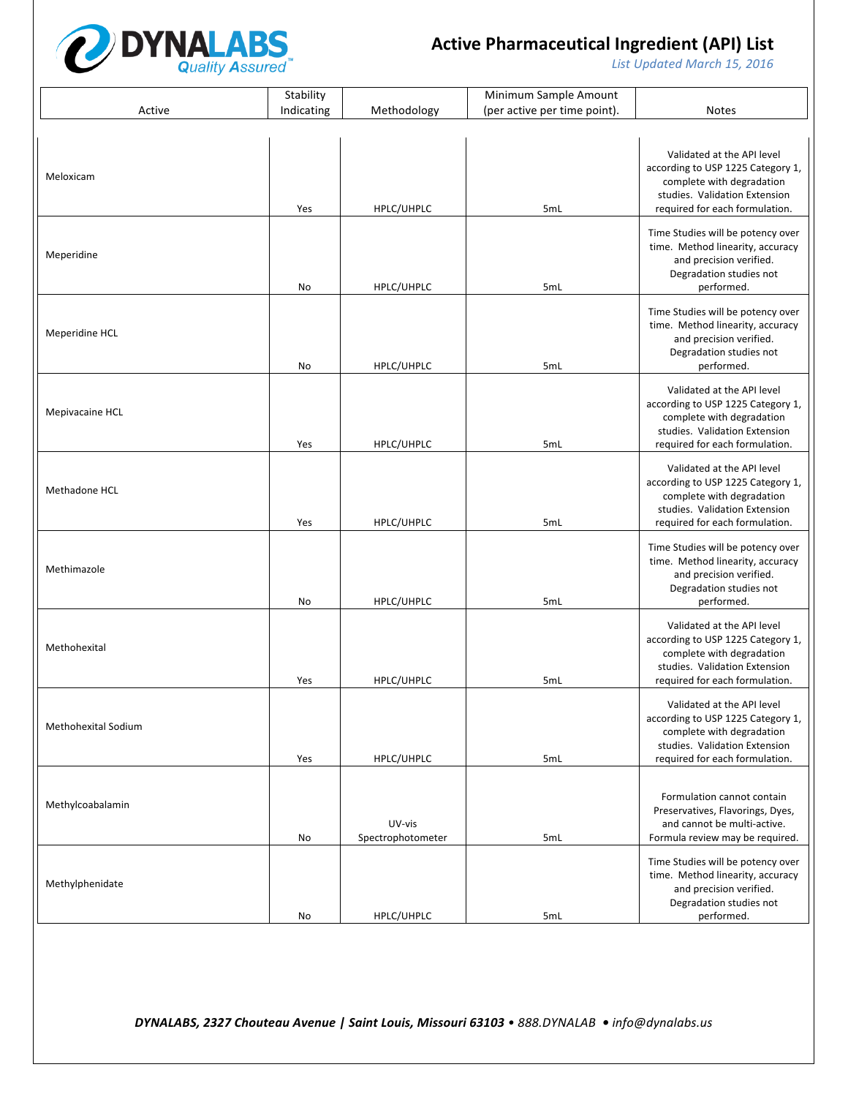

List Updated March 15, 2016

|                     | Stability  |                             | Minimum Sample Amount        |                                                                                                                                                                 |
|---------------------|------------|-----------------------------|------------------------------|-----------------------------------------------------------------------------------------------------------------------------------------------------------------|
| Active              | Indicating | Methodology                 | (per active per time point). | <b>Notes</b>                                                                                                                                                    |
|                     |            |                             |                              |                                                                                                                                                                 |
| Meloxicam           | Yes        | HPLC/UHPLC                  | 5mL                          | Validated at the API level<br>according to USP 1225 Category 1,<br>complete with degradation<br>studies. Validation Extension<br>required for each formulation. |
| Meperidine          | No         | HPLC/UHPLC                  | 5mL                          | Time Studies will be potency over<br>time. Method linearity, accuracy<br>and precision verified.<br>Degradation studies not<br>performed.                       |
| Meperidine HCL      | No         | HPLC/UHPLC                  | 5mL                          | Time Studies will be potency over<br>time. Method linearity, accuracy<br>and precision verified.<br>Degradation studies not<br>performed.                       |
| Mepivacaine HCL     | Yes        | HPLC/UHPLC                  | 5mL                          | Validated at the API level<br>according to USP 1225 Category 1,<br>complete with degradation<br>studies. Validation Extension<br>required for each formulation. |
| Methadone HCL       | Yes        | HPLC/UHPLC                  | 5mL                          | Validated at the API level<br>according to USP 1225 Category 1,<br>complete with degradation<br>studies. Validation Extension<br>required for each formulation. |
| Methimazole         | No         | HPLC/UHPLC                  | 5mL                          | Time Studies will be potency over<br>time. Method linearity, accuracy<br>and precision verified.<br>Degradation studies not<br>performed.                       |
| Methohexital        | Yes        | HPLC/UHPLC                  | 5mL                          | Validated at the API level<br>according to USP 1225 Category 1,<br>complete with degradation<br>studies. Validation Extension<br>required for each formulation. |
| Methohexital Sodium | Yes        | HPLC/UHPLC                  | 5mL                          | Validated at the API level<br>according to USP 1225 Category 1,<br>complete with degradation<br>studies. Validation Extension<br>required for each formulation. |
| Methylcoabalamin    | No         | UV-vis<br>Spectrophotometer | 5mL                          | Formulation cannot contain<br>Preservatives, Flavorings, Dyes,<br>and cannot be multi-active.<br>Formula review may be required.                                |
| Methylphenidate     | No         | HPLC/UHPLC                  | 5mL                          | Time Studies will be potency over<br>time. Method linearity, accuracy<br>and precision verified.<br>Degradation studies not<br>performed.                       |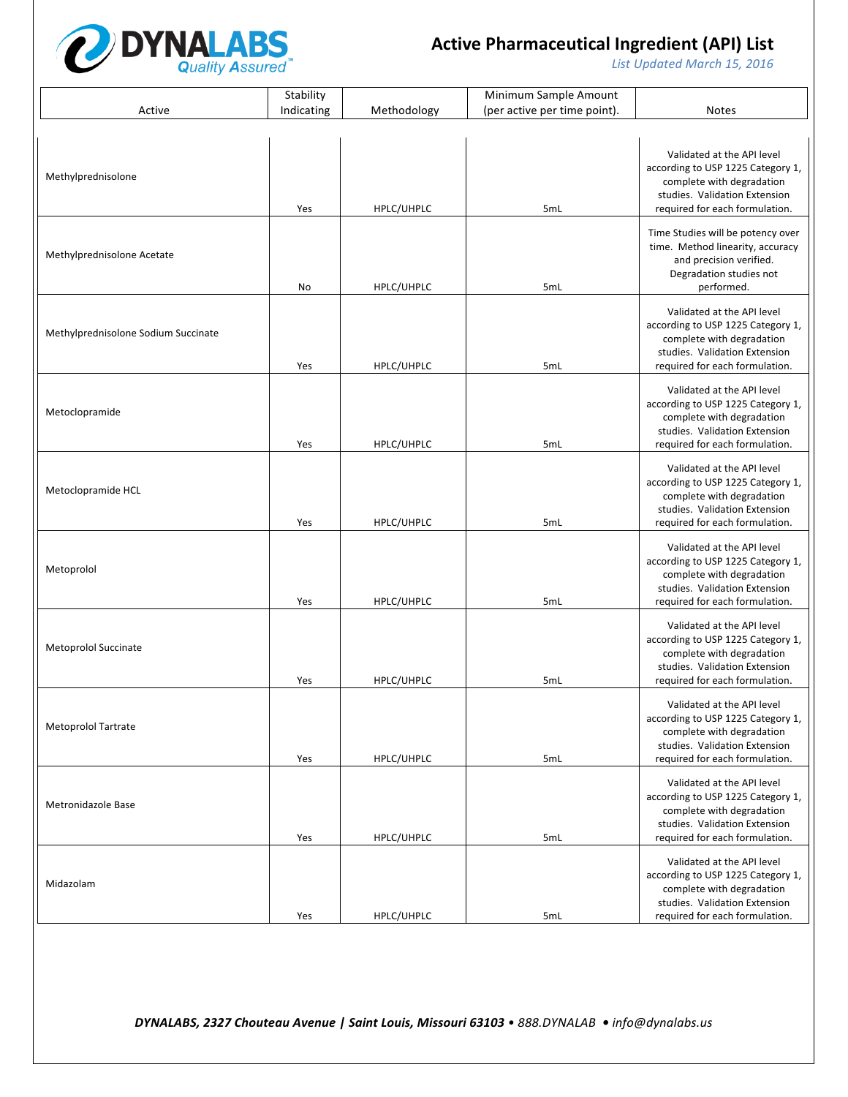

List Updated March 15, 2016

|                                     | Stability  |             | Minimum Sample Amount        |                                                                                                                                                                 |
|-------------------------------------|------------|-------------|------------------------------|-----------------------------------------------------------------------------------------------------------------------------------------------------------------|
| Active                              | Indicating | Methodology | (per active per time point). | <b>Notes</b>                                                                                                                                                    |
|                                     |            |             |                              |                                                                                                                                                                 |
| Methylprednisolone                  | Yes        | HPLC/UHPLC  | 5mL                          | Validated at the API level<br>according to USP 1225 Category 1,<br>complete with degradation<br>studies. Validation Extension<br>required for each formulation. |
| Methylprednisolone Acetate          | No         | HPLC/UHPLC  | 5mL                          | Time Studies will be potency over<br>time. Method linearity, accuracy<br>and precision verified.<br>Degradation studies not<br>performed.                       |
| Methylprednisolone Sodium Succinate | Yes        | HPLC/UHPLC  | 5mL                          | Validated at the API level<br>according to USP 1225 Category 1,<br>complete with degradation<br>studies. Validation Extension<br>required for each formulation. |
| Metoclopramide                      | Yes        | HPLC/UHPLC  | 5mL                          | Validated at the API level<br>according to USP 1225 Category 1,<br>complete with degradation<br>studies. Validation Extension<br>required for each formulation. |
| Metoclopramide HCL                  | Yes        | HPLC/UHPLC  | 5mL                          | Validated at the API level<br>according to USP 1225 Category 1,<br>complete with degradation<br>studies. Validation Extension<br>required for each formulation. |
| Metoprolol                          | Yes        | HPLC/UHPLC  | 5mL                          | Validated at the API level<br>according to USP 1225 Category 1,<br>complete with degradation<br>studies. Validation Extension<br>required for each formulation. |
| Metoprolol Succinate                | Yes        | HPLC/UHPLC  | 5mL                          | Validated at the API level<br>according to USP 1225 Category 1,<br>complete with degradation<br>studies. Validation Extension<br>required for each formulation. |
| <b>Metoprolol Tartrate</b>          | Yes        | HPLC/UHPLC  | 5mL                          | Validated at the API level<br>according to USP 1225 Category 1,<br>complete with degradation<br>studies. Validation Extension<br>required for each formulation. |
| Metronidazole Base                  | Yes        | HPLC/UHPLC  | 5mL                          | Validated at the API level<br>according to USP 1225 Category 1,<br>complete with degradation<br>studies. Validation Extension<br>required for each formulation. |
| Midazolam                           | Yes        | HPLC/UHPLC  | 5mL                          | Validated at the API level<br>according to USP 1225 Category 1,<br>complete with degradation<br>studies. Validation Extension<br>required for each formulation. |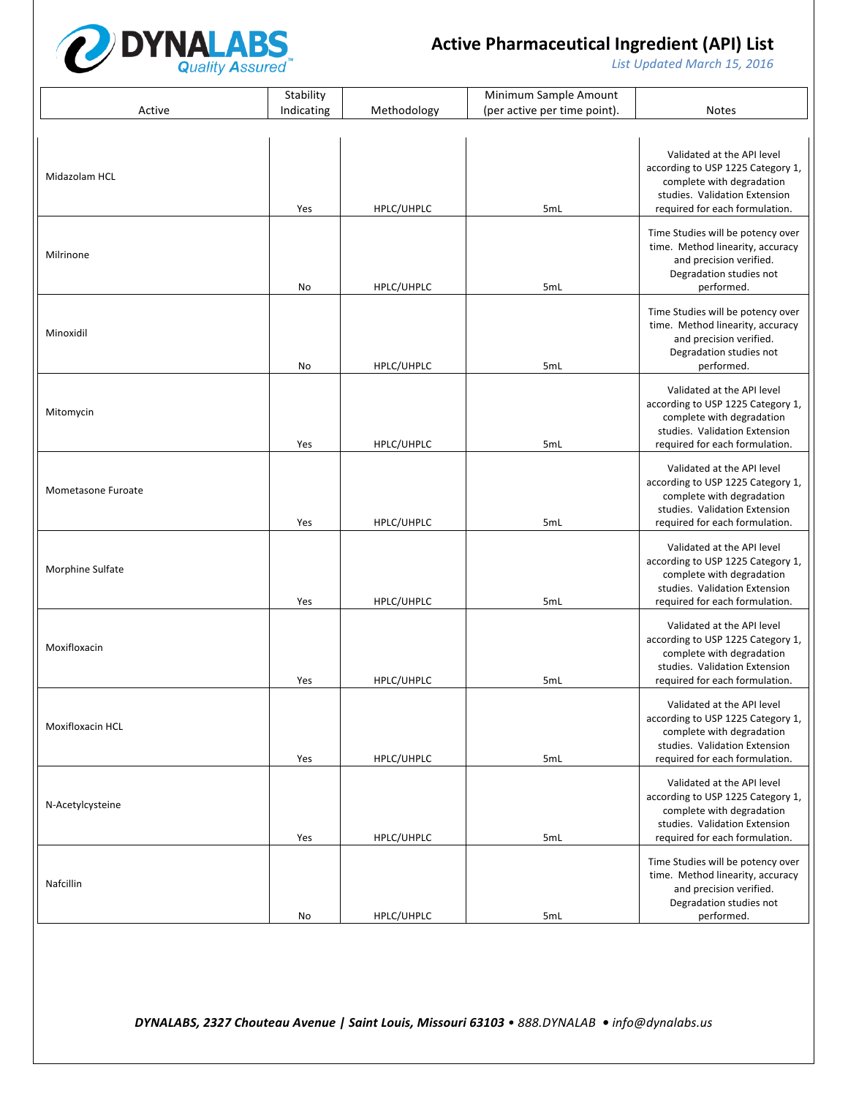

List Updated March 15, 2016

|                    | Stability  |             | Minimum Sample Amount        |                                                                                                                                                                 |
|--------------------|------------|-------------|------------------------------|-----------------------------------------------------------------------------------------------------------------------------------------------------------------|
| Active             | Indicating | Methodology | (per active per time point). | <b>Notes</b>                                                                                                                                                    |
|                    |            |             |                              |                                                                                                                                                                 |
| Midazolam HCL      | Yes        | HPLC/UHPLC  | 5mL                          | Validated at the API level<br>according to USP 1225 Category 1,<br>complete with degradation<br>studies. Validation Extension<br>required for each formulation. |
| Milrinone          | No         | HPLC/UHPLC  | 5mL                          | Time Studies will be potency over<br>time. Method linearity, accuracy<br>and precision verified.<br>Degradation studies not<br>performed.                       |
| Minoxidil          | No         | HPLC/UHPLC  | 5mL                          | Time Studies will be potency over<br>time. Method linearity, accuracy<br>and precision verified.<br>Degradation studies not<br>performed.                       |
| Mitomycin          | Yes        | HPLC/UHPLC  | 5mL                          | Validated at the API level<br>according to USP 1225 Category 1,<br>complete with degradation<br>studies. Validation Extension<br>required for each formulation. |
| Mometasone Furoate | Yes        | HPLC/UHPLC  | 5mL                          | Validated at the API level<br>according to USP 1225 Category 1,<br>complete with degradation<br>studies. Validation Extension<br>required for each formulation. |
| Morphine Sulfate   | Yes        | HPLC/UHPLC  | 5mL                          | Validated at the API level<br>according to USP 1225 Category 1,<br>complete with degradation<br>studies. Validation Extension<br>required for each formulation. |
| Moxifloxacin       | Yes        | HPLC/UHPLC  | 5mL                          | Validated at the API level<br>according to USP 1225 Category 1,<br>complete with degradation<br>studies. Validation Extension<br>required for each formulation. |
| Moxifloxacin HCL   | Yes        | HPLC/UHPLC  | 5mL                          | Validated at the API level<br>according to USP 1225 Category 1,<br>complete with degradation<br>studies. Validation Extension<br>required for each formulation. |
| N-Acetylcysteine   | Yes        | HPLC/UHPLC  | 5mL                          | Validated at the API level<br>according to USP 1225 Category 1,<br>complete with degradation<br>studies. Validation Extension<br>required for each formulation. |
| Nafcillin          | No         | HPLC/UHPLC  | 5mL                          | Time Studies will be potency over<br>time. Method linearity, accuracy<br>and precision verified.<br>Degradation studies not<br>performed.                       |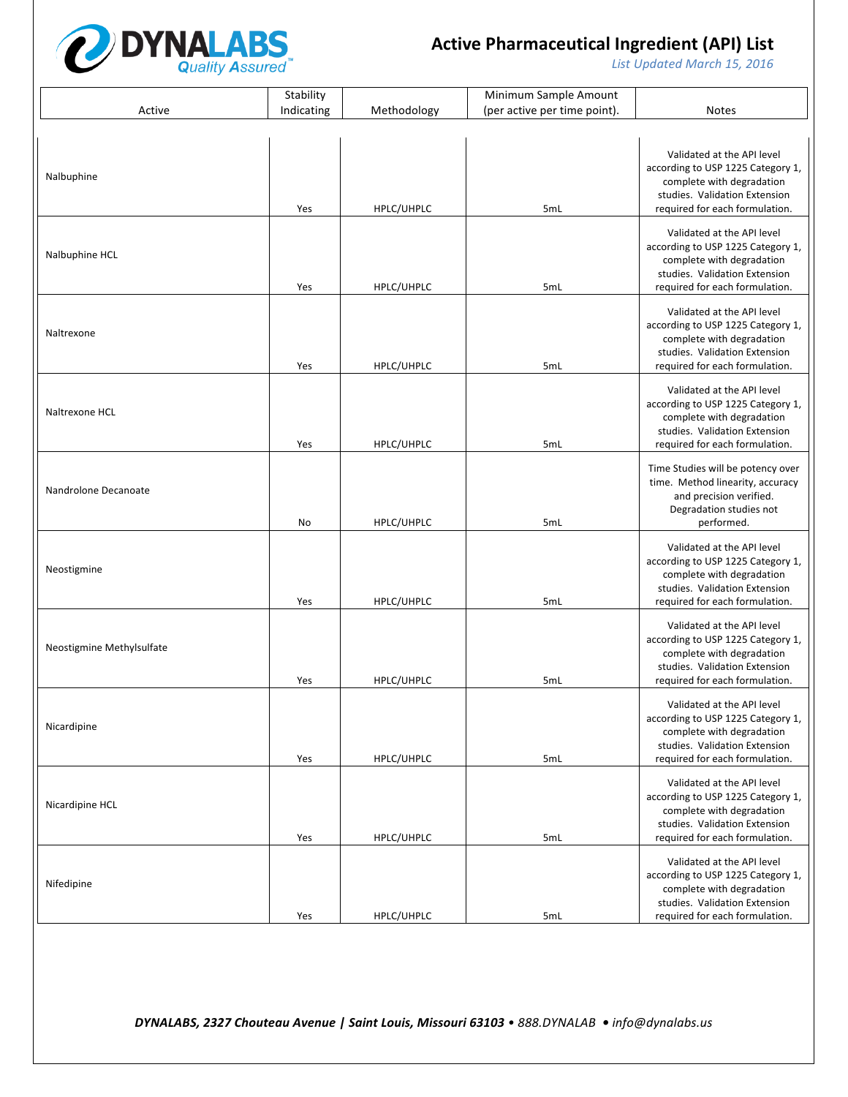

List Updated March 15, 2016

|                           | Stability  |             | Minimum Sample Amount        |                                                                       |
|---------------------------|------------|-------------|------------------------------|-----------------------------------------------------------------------|
| Active                    | Indicating | Methodology | (per active per time point). | <b>Notes</b>                                                          |
|                           |            |             |                              |                                                                       |
| Nalbuphine                |            |             |                              | Validated at the API level<br>according to USP 1225 Category 1,       |
|                           |            |             |                              | complete with degradation<br>studies. Validation Extension            |
|                           | Yes        | HPLC/UHPLC  | 5mL                          | required for each formulation.                                        |
|                           |            |             |                              | Validated at the API level<br>according to USP 1225 Category 1,       |
| Nalbuphine HCL            |            |             |                              | complete with degradation                                             |
|                           | Yes        | HPLC/UHPLC  | 5mL                          | studies. Validation Extension<br>required for each formulation.       |
|                           |            |             |                              | Validated at the API level                                            |
| Naltrexone                |            |             |                              | according to USP 1225 Category 1,<br>complete with degradation        |
|                           | Yes        | HPLC/UHPLC  | 5mL                          | studies. Validation Extension<br>required for each formulation.       |
|                           |            |             |                              | Validated at the API level                                            |
| Naltrexone HCL            |            |             |                              | according to USP 1225 Category 1,                                     |
|                           |            |             |                              | complete with degradation<br>studies. Validation Extension            |
|                           | Yes        | HPLC/UHPLC  | 5mL                          | required for each formulation.                                        |
|                           |            |             |                              | Time Studies will be potency over<br>time. Method linearity, accuracy |
| Nandrolone Decanoate      |            |             |                              | and precision verified.                                               |
|                           | No         | HPLC/UHPLC  | 5mL                          | Degradation studies not<br>performed.                                 |
|                           |            |             |                              | Validated at the API level                                            |
| Neostigmine               |            |             |                              | according to USP 1225 Category 1,<br>complete with degradation        |
|                           | Yes        | HPLC/UHPLC  | 5mL                          | studies. Validation Extension<br>required for each formulation.       |
|                           |            |             |                              | Validated at the API level                                            |
| Neostigmine Methylsulfate |            |             |                              | according to USP 1225 Category 1,                                     |
|                           |            |             |                              | complete with degradation<br>studies. Validation Extension            |
|                           | Yes        | HPLC/UHPLC  | 5mL                          | required for each formulation.                                        |
|                           |            |             |                              | Validated at the API level<br>according to USP 1225 Category 1,       |
| Nicardipine               |            |             |                              | complete with degradation<br>studies. Validation Extension            |
|                           | Yes        | HPLC/UHPLC  | 5mL                          | required for each formulation.                                        |
|                           |            |             |                              | Validated at the API level                                            |
| Nicardipine HCL           |            |             |                              | according to USP 1225 Category 1,<br>complete with degradation        |
|                           | Yes        | HPLC/UHPLC  | 5mL                          | studies. Validation Extension<br>required for each formulation.       |
|                           |            |             |                              | Validated at the API level                                            |
| Nifedipine                |            |             |                              | according to USP 1225 Category 1,<br>complete with degradation        |
|                           |            |             |                              | studies. Validation Extension                                         |
|                           | Yes        | HPLC/UHPLC  | 5mL                          | required for each formulation.                                        |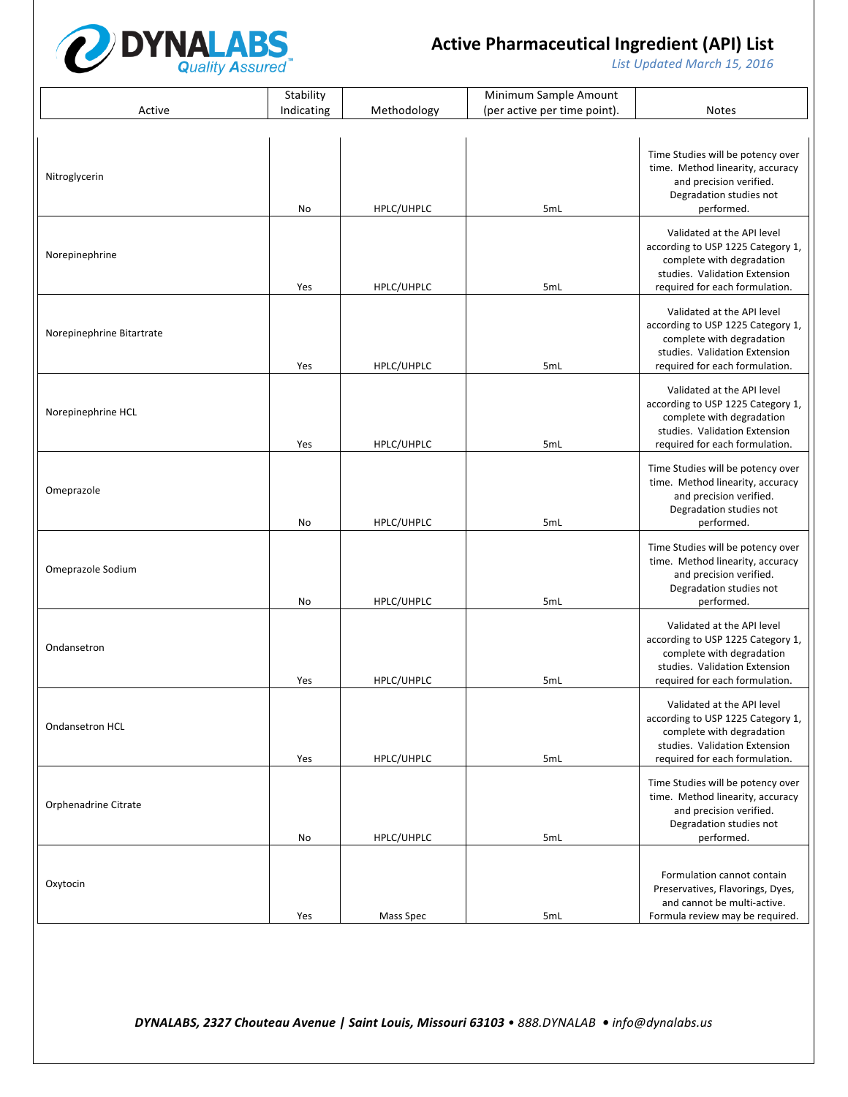

List Updated March 15, 2016

|                           | Stability  |             | Minimum Sample Amount        |                                                                                                                                                                 |
|---------------------------|------------|-------------|------------------------------|-----------------------------------------------------------------------------------------------------------------------------------------------------------------|
| Active                    | Indicating | Methodology | (per active per time point). | <b>Notes</b>                                                                                                                                                    |
|                           |            |             |                              |                                                                                                                                                                 |
| Nitroglycerin             | No         | HPLC/UHPLC  | 5mL                          | Time Studies will be potency over<br>time. Method linearity, accuracy<br>and precision verified.<br>Degradation studies not<br>performed.                       |
| Norepinephrine            | Yes        | HPLC/UHPLC  | 5mL                          | Validated at the API level<br>according to USP 1225 Category 1,<br>complete with degradation<br>studies. Validation Extension<br>required for each formulation. |
| Norepinephrine Bitartrate | Yes        | HPLC/UHPLC  | 5mL                          | Validated at the API level<br>according to USP 1225 Category 1,<br>complete with degradation<br>studies. Validation Extension<br>required for each formulation. |
| Norepinephrine HCL        | Yes        | HPLC/UHPLC  | 5mL                          | Validated at the API level<br>according to USP 1225 Category 1,<br>complete with degradation<br>studies. Validation Extension<br>required for each formulation. |
| Omeprazole                | No         | HPLC/UHPLC  | 5mL                          | Time Studies will be potency over<br>time. Method linearity, accuracy<br>and precision verified.<br>Degradation studies not<br>performed.                       |
| Omeprazole Sodium         | No         | HPLC/UHPLC  | 5mL                          | Time Studies will be potency over<br>time. Method linearity, accuracy<br>and precision verified.<br>Degradation studies not<br>performed.                       |
| Ondansetron               | Yes        | HPLC/UHPLC  | 5mL                          | Validated at the API level<br>according to USP 1225 Category 1,<br>complete with degradation<br>studies. Validation Extension<br>required for each formulation. |
| <b>Ondansetron HCL</b>    | Yes        | HPLC/UHPLC  | 5mL                          | Validated at the API level<br>according to USP 1225 Category 1,<br>complete with degradation<br>studies. Validation Extension<br>required for each formulation. |
| Orphenadrine Citrate      | No         | HPLC/UHPLC  | 5mL                          | Time Studies will be potency over<br>time. Method linearity, accuracy<br>and precision verified.<br>Degradation studies not<br>performed.                       |
| Oxytocin                  | Yes        | Mass Spec   | 5mL                          | Formulation cannot contain<br>Preservatives, Flavorings, Dyes,<br>and cannot be multi-active.<br>Formula review may be required.                                |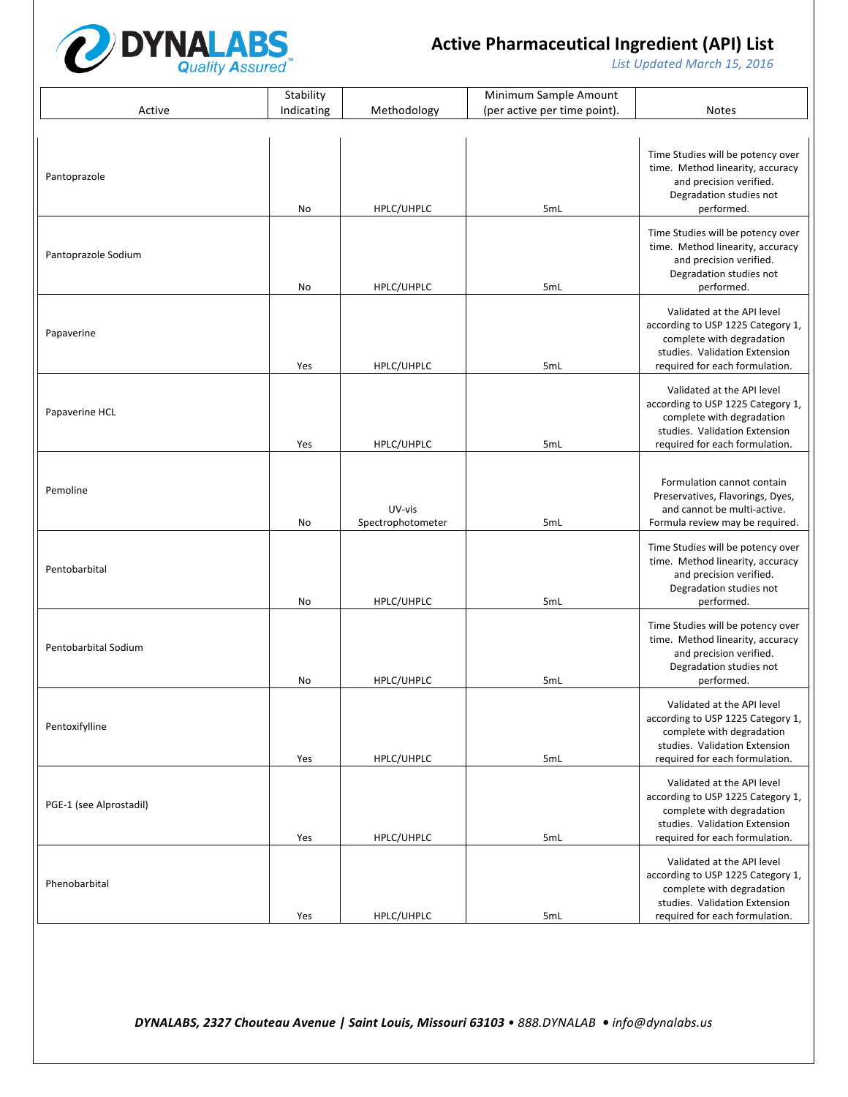

List Updated March 15, 2016

|                         | Stability  |                             | Minimum Sample Amount        |                                                                                                                                                                 |
|-------------------------|------------|-----------------------------|------------------------------|-----------------------------------------------------------------------------------------------------------------------------------------------------------------|
| Active                  | Indicating | Methodology                 | (per active per time point). | <b>Notes</b>                                                                                                                                                    |
|                         |            |                             |                              |                                                                                                                                                                 |
| Pantoprazole            | No         | HPLC/UHPLC                  | 5mL                          | Time Studies will be potency over<br>time. Method linearity, accuracy<br>and precision verified.<br>Degradation studies not<br>performed.                       |
| Pantoprazole Sodium     | No         | HPLC/UHPLC                  | 5mL                          | Time Studies will be potency over<br>time. Method linearity, accuracy<br>and precision verified.<br>Degradation studies not<br>performed.                       |
| Papaverine              | Yes        | HPLC/UHPLC                  | 5mL                          | Validated at the API level<br>according to USP 1225 Category 1,<br>complete with degradation<br>studies. Validation Extension<br>required for each formulation. |
| Papaverine HCL          | Yes        | HPLC/UHPLC                  | 5mL                          | Validated at the API level<br>according to USP 1225 Category 1,<br>complete with degradation<br>studies. Validation Extension<br>required for each formulation. |
| Pemoline                | No         | UV-vis<br>Spectrophotometer | 5mL                          | Formulation cannot contain<br>Preservatives, Flavorings, Dyes,<br>and cannot be multi-active.<br>Formula review may be required.                                |
| Pentobarbital           | No         | HPLC/UHPLC                  | 5mL                          | Time Studies will be potency over<br>time. Method linearity, accuracy<br>and precision verified.<br>Degradation studies not<br>performed.                       |
| Pentobarbital Sodium    | No         | HPLC/UHPLC                  | 5mL                          | Time Studies will be potency over<br>time. Method linearity, accuracy<br>and precision verified.<br>Degradation studies not<br>performed.                       |
| Pentoxifylline          | Yes        | HPLC/UHPLC                  | 5mL                          | Validated at the API level<br>according to USP 1225 Category 1,<br>complete with degradation<br>studies. Validation Extension<br>required for each formulation. |
| PGE-1 (see Alprostadil) | Yes        | HPLC/UHPLC                  | 5mL                          | Validated at the API level<br>according to USP 1225 Category 1,<br>complete with degradation<br>studies. Validation Extension<br>required for each formulation. |
| Phenobarbital           | Yes        | HPLC/UHPLC                  | 5mL                          | Validated at the API level<br>according to USP 1225 Category 1,<br>complete with degradation<br>studies. Validation Extension<br>required for each formulation. |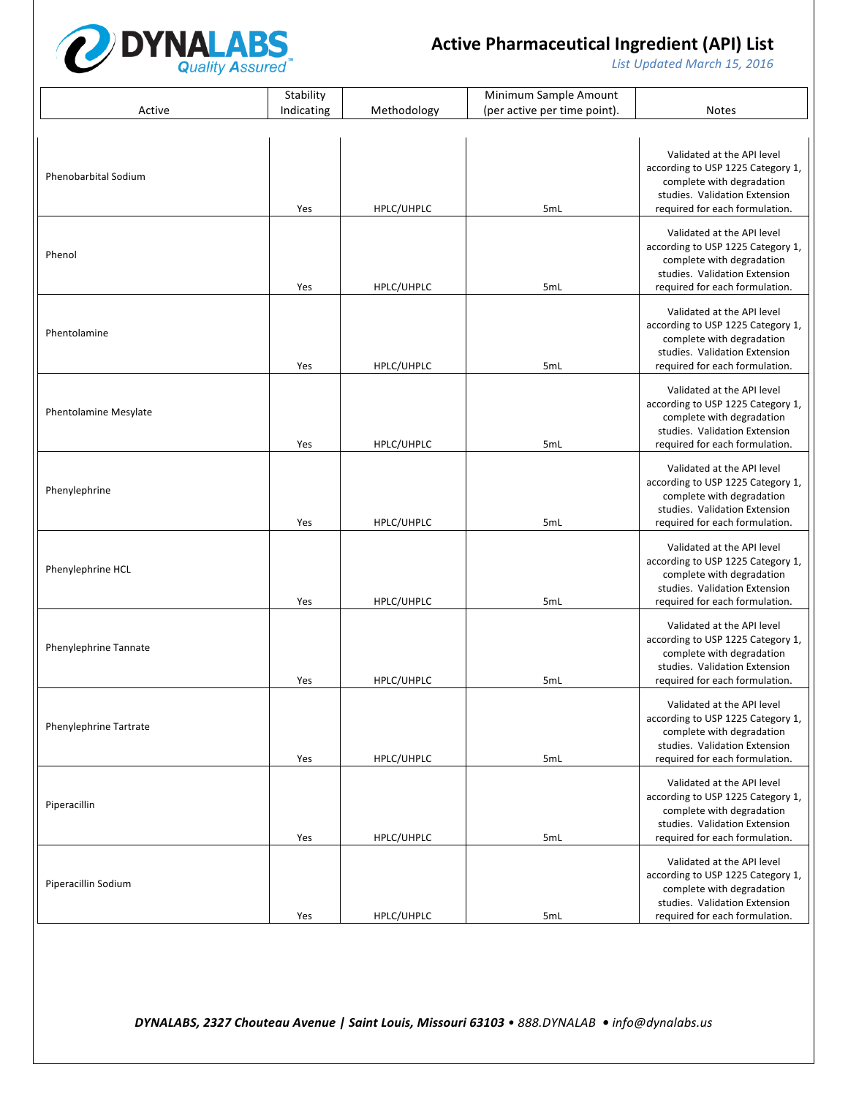

List Updated March 15, 2016

|                               | Stability  |             | Minimum Sample Amount        |                                                                                                                                                                 |
|-------------------------------|------------|-------------|------------------------------|-----------------------------------------------------------------------------------------------------------------------------------------------------------------|
| Active                        | Indicating | Methodology | (per active per time point). | <b>Notes</b>                                                                                                                                                    |
|                               |            |             |                              |                                                                                                                                                                 |
| <b>Phenobarbital Sodium</b>   | Yes        | HPLC/UHPLC  | 5mL                          | Validated at the API level<br>according to USP 1225 Category 1,<br>complete with degradation<br>studies. Validation Extension<br>required for each formulation. |
| Phenol                        | Yes        | HPLC/UHPLC  | 5mL                          | Validated at the API level<br>according to USP 1225 Category 1,<br>complete with degradation<br>studies. Validation Extension<br>required for each formulation. |
| Phentolamine                  | Yes        | HPLC/UHPLC  | 5mL                          | Validated at the API level<br>according to USP 1225 Category 1,<br>complete with degradation<br>studies. Validation Extension<br>required for each formulation. |
| <b>Phentolamine Mesylate</b>  | Yes        | HPLC/UHPLC  | 5mL                          | Validated at the API level<br>according to USP 1225 Category 1,<br>complete with degradation<br>studies. Validation Extension<br>required for each formulation. |
| Phenylephrine                 | Yes        | HPLC/UHPLC  | 5mL                          | Validated at the API level<br>according to USP 1225 Category 1,<br>complete with degradation<br>studies. Validation Extension<br>required for each formulation. |
| Phenylephrine HCL             | Yes        | HPLC/UHPLC  | 5mL                          | Validated at the API level<br>according to USP 1225 Category 1,<br>complete with degradation<br>studies. Validation Extension<br>required for each formulation. |
| Phenylephrine Tannate         | Yes        | HPLC/UHPLC  | 5mL                          | Validated at the API level<br>according to USP 1225 Category 1,<br>complete with degradation<br>studies. Validation Extension<br>required for each formulation. |
| <b>Phenylephrine Tartrate</b> | Yes        | HPLC/UHPLC  | 5mL                          | Validated at the API level<br>according to USP 1225 Category 1,<br>complete with degradation<br>studies. Validation Extension<br>required for each formulation. |
| Piperacillin                  | Yes        | HPLC/UHPLC  | 5mL                          | Validated at the API level<br>according to USP 1225 Category 1,<br>complete with degradation<br>studies. Validation Extension<br>required for each formulation. |
| Piperacillin Sodium           | Yes        | HPLC/UHPLC  | 5mL                          | Validated at the API level<br>according to USP 1225 Category 1,<br>complete with degradation<br>studies. Validation Extension<br>required for each formulation. |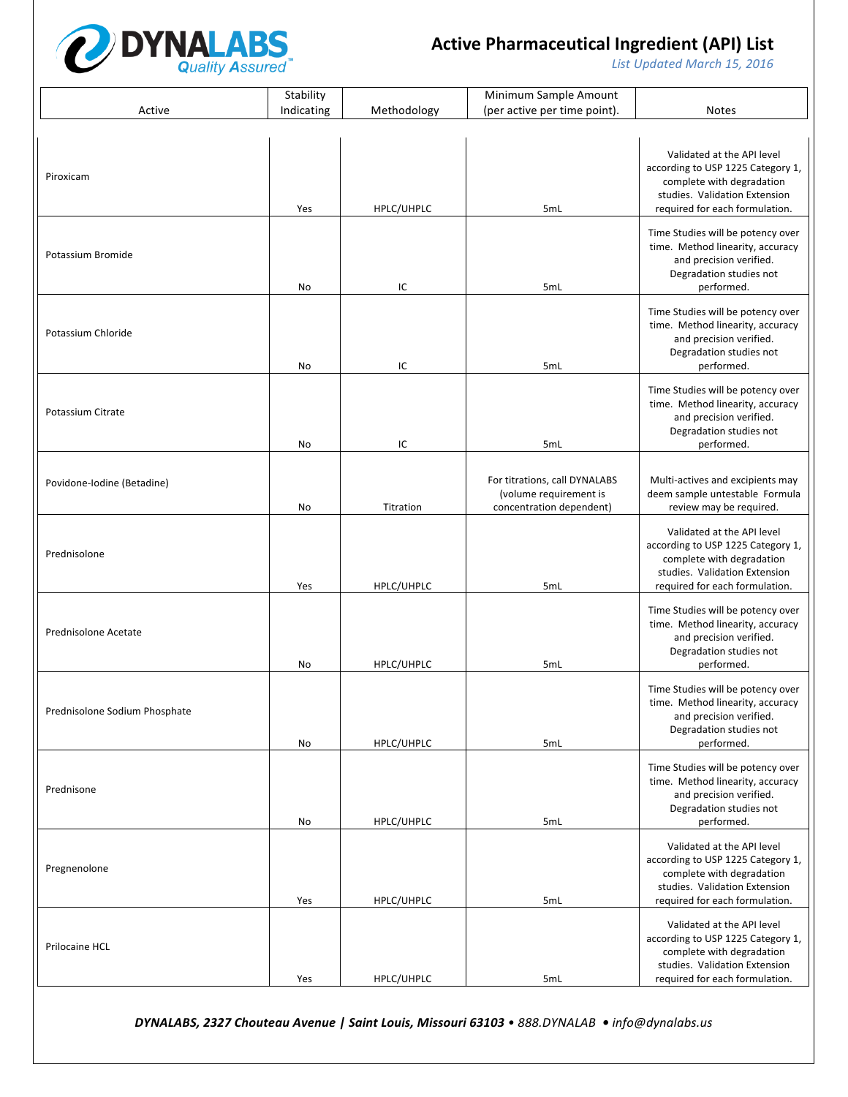

List Updated March 15, 2016

|                               | Stability  |             | Minimum Sample Amount                                                               |                                                                                                                                                                 |
|-------------------------------|------------|-------------|-------------------------------------------------------------------------------------|-----------------------------------------------------------------------------------------------------------------------------------------------------------------|
| Active                        | Indicating | Methodology | (per active per time point).                                                        | <b>Notes</b>                                                                                                                                                    |
|                               |            |             |                                                                                     |                                                                                                                                                                 |
| Piroxicam                     | Yes        | HPLC/UHPLC  | 5mL                                                                                 | Validated at the API level<br>according to USP 1225 Category 1,<br>complete with degradation<br>studies. Validation Extension<br>required for each formulation. |
|                               |            |             |                                                                                     |                                                                                                                                                                 |
| Potassium Bromide             | No         | IC          | 5mL                                                                                 | Time Studies will be potency over<br>time. Method linearity, accuracy<br>and precision verified.<br>Degradation studies not<br>performed.                       |
| Potassium Chloride            | No         | IC          | 5mL                                                                                 | Time Studies will be potency over<br>time. Method linearity, accuracy<br>and precision verified.<br>Degradation studies not<br>performed.                       |
| <b>Potassium Citrate</b>      | No         | IC          | 5mL                                                                                 | Time Studies will be potency over<br>time. Method linearity, accuracy<br>and precision verified.<br>Degradation studies not<br>performed.                       |
|                               |            |             |                                                                                     |                                                                                                                                                                 |
| Povidone-Iodine (Betadine)    | No         | Titration   | For titrations, call DYNALABS<br>(volume requirement is<br>concentration dependent) | Multi-actives and excipients may<br>deem sample untestable Formula<br>review may be required.                                                                   |
| Prednisolone                  | Yes        | HPLC/UHPLC  | 5mL                                                                                 | Validated at the API level<br>according to USP 1225 Category 1,<br>complete with degradation<br>studies. Validation Extension<br>required for each formulation. |
| Prednisolone Acetate          | No         | HPLC/UHPLC  | 5mL                                                                                 | Time Studies will be potency over<br>time. Method linearity, accuracy<br>and precision verified.<br>Degradation studies not<br>performed.                       |
| Prednisolone Sodium Phosphate | No         | HPLC/UHPLC  | 5mL                                                                                 | Time Studies will be potency over<br>time. Method linearity, accuracy<br>and precision verified.<br>Degradation studies not<br>performed.                       |
| Prednisone                    | No         | HPLC/UHPLC  | 5mL                                                                                 | Time Studies will be potency over<br>time. Method linearity, accuracy<br>and precision verified.<br>Degradation studies not<br>performed.                       |
| Pregnenolone                  | Yes        | HPLC/UHPLC  | 5mL                                                                                 | Validated at the API level<br>according to USP 1225 Category 1,<br>complete with degradation<br>studies. Validation Extension<br>required for each formulation. |
| Prilocaine HCL                | Yes        | HPLC/UHPLC  | 5mL                                                                                 | Validated at the API level<br>according to USP 1225 Category 1,<br>complete with degradation<br>studies. Validation Extension<br>required for each formulation. |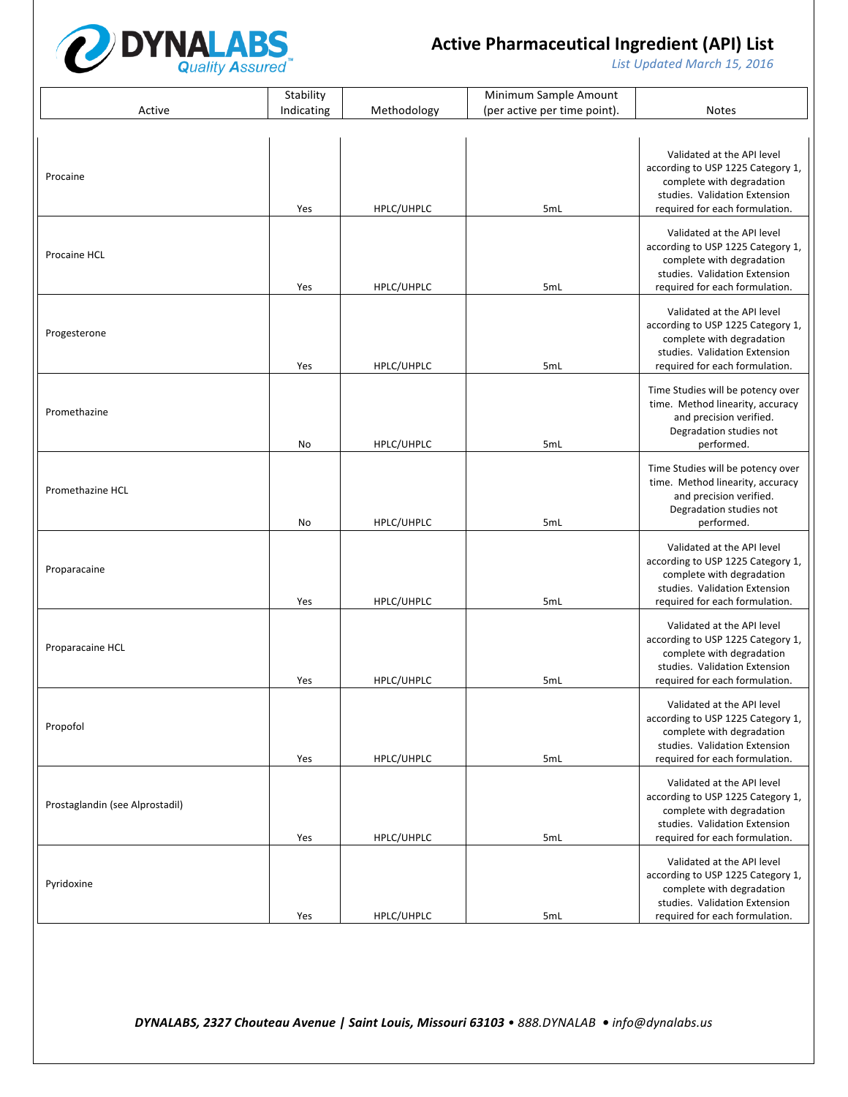

List Updated March 15, 2016

|                                 | Stability  |             | Minimum Sample Amount        |                                                                                                                                                                 |
|---------------------------------|------------|-------------|------------------------------|-----------------------------------------------------------------------------------------------------------------------------------------------------------------|
| Active                          | Indicating | Methodology | (per active per time point). | Notes                                                                                                                                                           |
|                                 |            |             |                              |                                                                                                                                                                 |
| Procaine                        | Yes        | HPLC/UHPLC  | 5mL                          | Validated at the API level<br>according to USP 1225 Category 1,<br>complete with degradation<br>studies. Validation Extension<br>required for each formulation. |
| Procaine HCL                    | Yes        | HPLC/UHPLC  | 5mL                          | Validated at the API level<br>according to USP 1225 Category 1,<br>complete with degradation<br>studies. Validation Extension<br>required for each formulation. |
| Progesterone                    | Yes        | HPLC/UHPLC  | 5mL                          | Validated at the API level<br>according to USP 1225 Category 1,<br>complete with degradation<br>studies. Validation Extension<br>required for each formulation. |
| Promethazine                    | No         | HPLC/UHPLC  | 5mL                          | Time Studies will be potency over<br>time. Method linearity, accuracy<br>and precision verified.<br>Degradation studies not<br>performed.                       |
| Promethazine HCL                | No         | HPLC/UHPLC  | 5mL                          | Time Studies will be potency over<br>time. Method linearity, accuracy<br>and precision verified.<br>Degradation studies not<br>performed.                       |
| Proparacaine                    | Yes        | HPLC/UHPLC  | 5mL                          | Validated at the API level<br>according to USP 1225 Category 1,<br>complete with degradation<br>studies. Validation Extension<br>required for each formulation. |
| Proparacaine HCL                | Yes        | HPLC/UHPLC  | 5mL                          | Validated at the API level<br>according to USP 1225 Category 1,<br>complete with degradation<br>studies. Validation Extension<br>required for each formulation. |
| Propofol                        | Yes        | HPLC/UHPLC  | 5mL                          | Validated at the API level<br>according to USP 1225 Category 1,<br>complete with degradation<br>studies. Validation Extension<br>required for each formulation. |
| Prostaglandin (see Alprostadil) | Yes        | HPLC/UHPLC  | 5mL                          | Validated at the API level<br>according to USP 1225 Category 1,<br>complete with degradation<br>studies. Validation Extension<br>required for each formulation. |
| Pyridoxine                      | Yes        | HPLC/UHPLC  | 5mL                          | Validated at the API level<br>according to USP 1225 Category 1,<br>complete with degradation<br>studies. Validation Extension<br>required for each formulation. |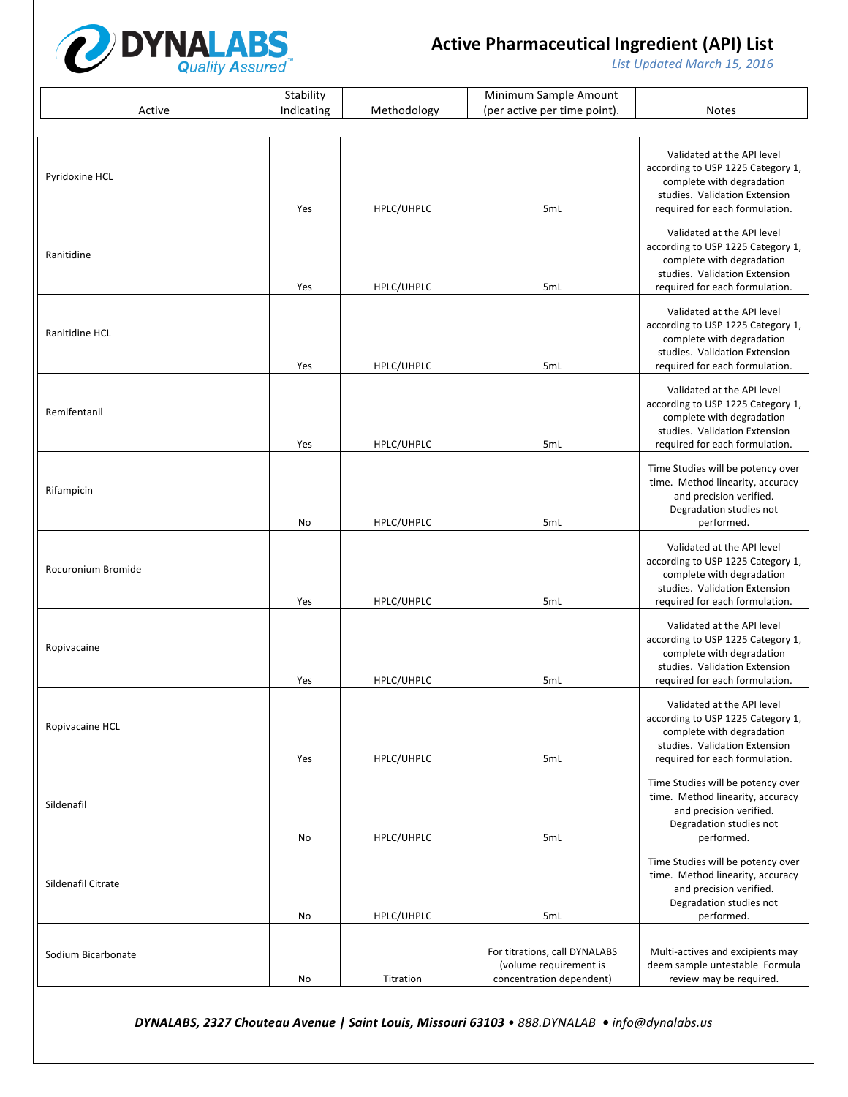

List Updated March 15, 2016

|                    | Stability  |             | Minimum Sample Amount                                                               |                                                                                                                                                                 |
|--------------------|------------|-------------|-------------------------------------------------------------------------------------|-----------------------------------------------------------------------------------------------------------------------------------------------------------------|
| Active             | Indicating | Methodology | (per active per time point).                                                        | <b>Notes</b>                                                                                                                                                    |
| Pyridoxine HCL     | Yes        | HPLC/UHPLC  | 5mL                                                                                 | Validated at the API level<br>according to USP 1225 Category 1,<br>complete with degradation<br>studies. Validation Extension<br>required for each formulation. |
| Ranitidine         | Yes        | HPLC/UHPLC  | 5mL                                                                                 | Validated at the API level<br>according to USP 1225 Category 1,<br>complete with degradation<br>studies. Validation Extension<br>required for each formulation. |
| Ranitidine HCL     | Yes        | HPLC/UHPLC  | 5mL                                                                                 | Validated at the API level<br>according to USP 1225 Category 1,<br>complete with degradation<br>studies. Validation Extension<br>required for each formulation. |
| Remifentanil       | Yes        | HPLC/UHPLC  | 5mL                                                                                 | Validated at the API level<br>according to USP 1225 Category 1,<br>complete with degradation<br>studies. Validation Extension<br>required for each formulation. |
| Rifampicin         | No         | HPLC/UHPLC  | 5mL                                                                                 | Time Studies will be potency over<br>time. Method linearity, accuracy<br>and precision verified.<br>Degradation studies not<br>performed.                       |
| Rocuronium Bromide | Yes        | HPLC/UHPLC  | 5mL                                                                                 | Validated at the API level<br>according to USP 1225 Category 1,<br>complete with degradation<br>studies. Validation Extension<br>required for each formulation. |
| Ropivacaine        | Yes        | HPLC/UHPLC  | 5mL                                                                                 | Validated at the API level<br>according to USP 1225 Category 1,<br>complete with degradation<br>studies. Validation Extension<br>required for each formulation. |
| Ropivacaine HCL    | Yes        | HPLC/UHPLC  | 5mL                                                                                 | Validated at the API level<br>according to USP 1225 Category 1,<br>complete with degradation<br>studies. Validation Extension<br>required for each formulation. |
| Sildenafil         | No         | HPLC/UHPLC  | 5mL                                                                                 | Time Studies will be potency over<br>time. Method linearity, accuracy<br>and precision verified.<br>Degradation studies not<br>performed.                       |
| Sildenafil Citrate | No         | HPLC/UHPLC  | 5mL                                                                                 | Time Studies will be potency over<br>time. Method linearity, accuracy<br>and precision verified.<br>Degradation studies not<br>performed.                       |
| Sodium Bicarbonate | No         | Titration   | For titrations, call DYNALABS<br>(volume requirement is<br>concentration dependent) | Multi-actives and excipients may<br>deem sample untestable Formula<br>review may be required.                                                                   |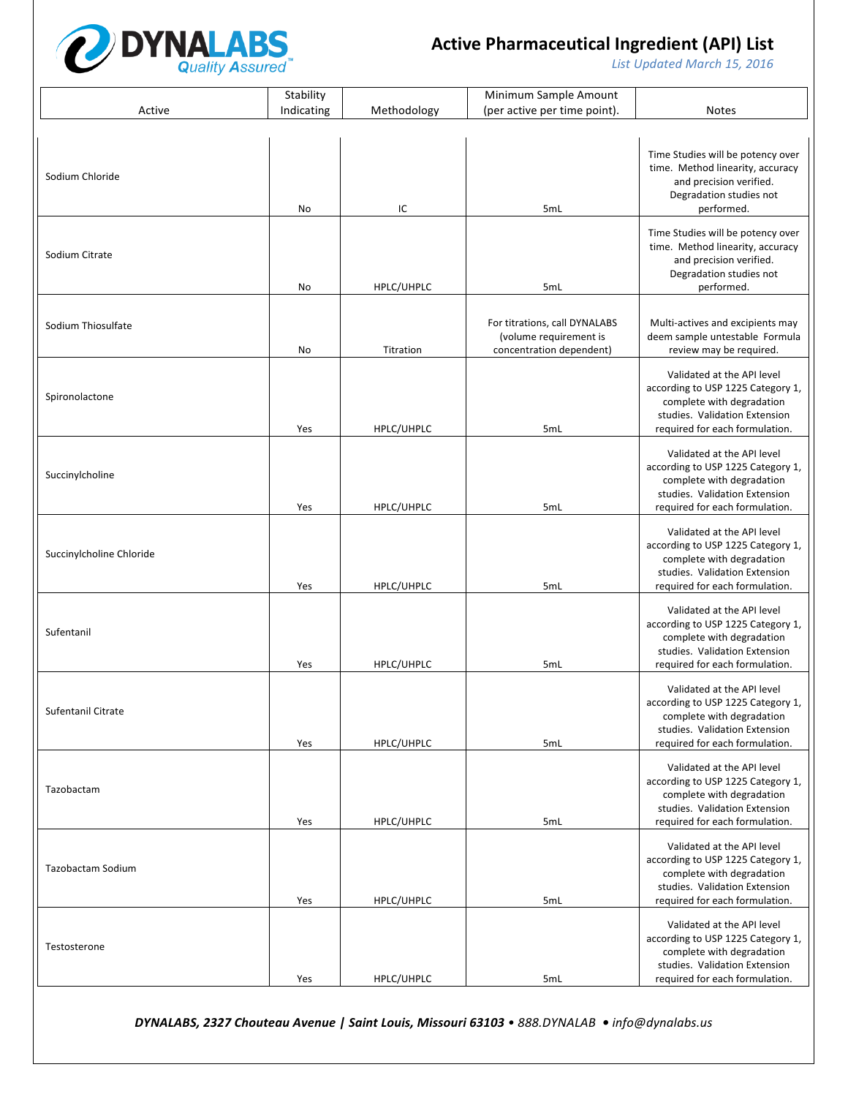

List Updated March 15, 2016

|                          | Stability  |             | Minimum Sample Amount                                                               |                                                                                                                                                                 |
|--------------------------|------------|-------------|-------------------------------------------------------------------------------------|-----------------------------------------------------------------------------------------------------------------------------------------------------------------|
| Active                   | Indicating | Methodology | (per active per time point).                                                        | <b>Notes</b>                                                                                                                                                    |
| Sodium Chloride          | No         | IC          | 5mL                                                                                 | Time Studies will be potency over<br>time. Method linearity, accuracy<br>and precision verified.<br>Degradation studies not<br>performed.                       |
| Sodium Citrate           | No         | HPLC/UHPLC  | 5mL                                                                                 | Time Studies will be potency over<br>time. Method linearity, accuracy<br>and precision verified.<br>Degradation studies not<br>performed.                       |
| Sodium Thiosulfate       | No         | Titration   | For titrations, call DYNALABS<br>(volume requirement is<br>concentration dependent) | Multi-actives and excipients may<br>deem sample untestable Formula<br>review may be required.                                                                   |
| Spironolactone           | Yes        | HPLC/UHPLC  | 5mL                                                                                 | Validated at the API level<br>according to USP 1225 Category 1,<br>complete with degradation<br>studies. Validation Extension<br>required for each formulation. |
| Succinylcholine          | Yes        | HPLC/UHPLC  | 5mL                                                                                 | Validated at the API level<br>according to USP 1225 Category 1,<br>complete with degradation<br>studies. Validation Extension<br>required for each formulation. |
| Succinylcholine Chloride | Yes        | HPLC/UHPLC  | 5mL                                                                                 | Validated at the API level<br>according to USP 1225 Category 1,<br>complete with degradation<br>studies. Validation Extension<br>required for each formulation. |
| Sufentanil               | Yes        | HPLC/UHPLC  | 5mL                                                                                 | Validated at the API level<br>according to USP 1225 Category 1,<br>complete with degradation<br>studies. Validation Extension<br>required for each formulation. |
| Sufentanil Citrate       | Yes        | HPLC/UHPLC  | 5mL                                                                                 | Validated at the API level<br>according to USP 1225 Category 1,<br>complete with degradation<br>studies. Validation Extension<br>required for each formulation. |
| Tazobactam               | Yes        | HPLC/UHPLC  | 5mL                                                                                 | Validated at the API level<br>according to USP 1225 Category 1,<br>complete with degradation<br>studies. Validation Extension<br>required for each formulation. |
| Tazobactam Sodium        | Yes        | HPLC/UHPLC  | 5mL                                                                                 | Validated at the API level<br>according to USP 1225 Category 1,<br>complete with degradation<br>studies. Validation Extension<br>required for each formulation. |
| Testosterone             | Yes        | HPLC/UHPLC  | 5mL                                                                                 | Validated at the API level<br>according to USP 1225 Category 1,<br>complete with degradation<br>studies. Validation Extension<br>required for each formulation. |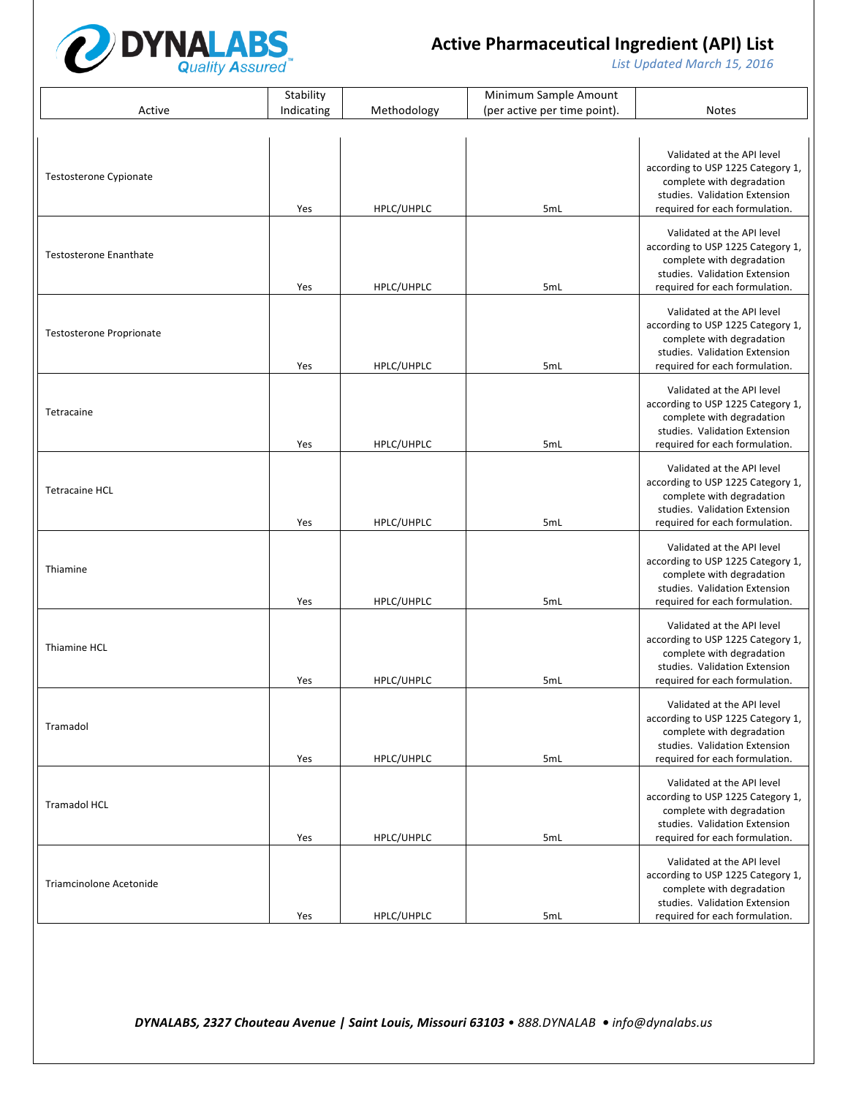

List Updated March 15, 2016

|                                 | Stability  |             | Minimum Sample Amount        |                                                                                                                                                                 |  |  |  |
|---------------------------------|------------|-------------|------------------------------|-----------------------------------------------------------------------------------------------------------------------------------------------------------------|--|--|--|
| Active                          | Indicating | Methodology | (per active per time point). | <b>Notes</b>                                                                                                                                                    |  |  |  |
|                                 |            |             |                              |                                                                                                                                                                 |  |  |  |
| <b>Testosterone Cypionate</b>   | Yes        | HPLC/UHPLC  | 5mL                          | Validated at the API level<br>according to USP 1225 Category 1,<br>complete with degradation<br>studies. Validation Extension<br>required for each formulation. |  |  |  |
| <b>Testosterone Enanthate</b>   | Yes        | HPLC/UHPLC  | 5mL                          | Validated at the API level<br>according to USP 1225 Category 1,<br>complete with degradation<br>studies. Validation Extension<br>required for each formulation. |  |  |  |
| <b>Testosterone Proprionate</b> | Yes        | HPLC/UHPLC  | 5mL                          | Validated at the API level<br>according to USP 1225 Category 1,<br>complete with degradation<br>studies. Validation Extension<br>required for each formulation. |  |  |  |
| Tetracaine                      | Yes        | HPLC/UHPLC  | 5mL                          | Validated at the API level<br>according to USP 1225 Category 1,<br>complete with degradation<br>studies. Validation Extension<br>required for each formulation. |  |  |  |
| <b>Tetracaine HCL</b>           | Yes        | HPLC/UHPLC  | 5mL                          | Validated at the API level<br>according to USP 1225 Category 1,<br>complete with degradation<br>studies. Validation Extension<br>required for each formulation. |  |  |  |
| Thiamine                        | Yes        | HPLC/UHPLC  | 5mL                          | Validated at the API level<br>according to USP 1225 Category 1,<br>complete with degradation<br>studies. Validation Extension<br>required for each formulation. |  |  |  |
| Thiamine HCL                    | Yes        | HPLC/UHPLC  | 5mL                          | Validated at the API level<br>according to USP 1225 Category 1,<br>complete with degradation<br>studies. Validation Extension<br>required for each formulation. |  |  |  |
| Tramadol                        | Yes        | HPLC/UHPLC  | 5mL                          | Validated at the API level<br>according to USP 1225 Category 1,<br>complete with degradation<br>studies. Validation Extension<br>required for each formulation. |  |  |  |
| <b>Tramadol HCL</b>             | Yes        | HPLC/UHPLC  | 5mL                          | Validated at the API level<br>according to USP 1225 Category 1,<br>complete with degradation<br>studies. Validation Extension<br>required for each formulation. |  |  |  |
| Triamcinolone Acetonide         | Yes        | HPLC/UHPLC  | 5mL                          | Validated at the API level<br>according to USP 1225 Category 1,<br>complete with degradation<br>studies. Validation Extension<br>required for each formulation. |  |  |  |